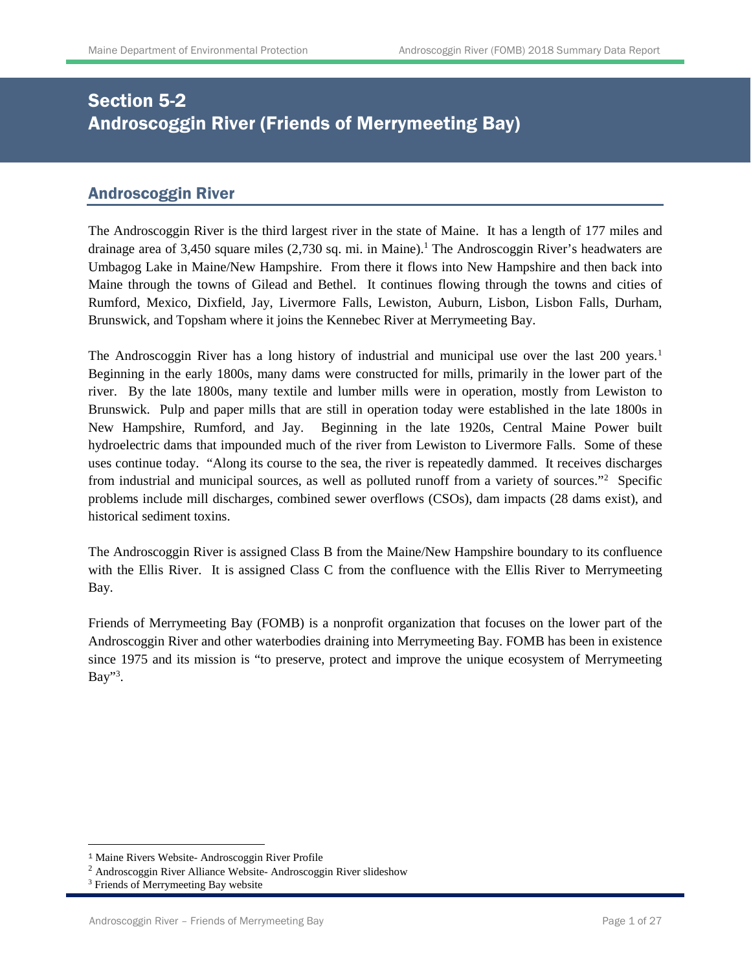# Section 5-2 Androscoggin River (Friends of Merrymeeting Bay)

## Androscoggin River

The Androscoggin River is the third largest river in the state of Maine. It has a length of 177 miles and drainage area of 3,450 square miles (2,730 sq. mi. in Maine). <sup>1</sup> The Androscoggin River's headwaters are Umbagog Lake in Maine/New Hampshire. From there it flows into New Hampshire and then back into Maine through the towns of Gilead and Bethel. It continues flowing through the towns and cities of Rumford, Mexico, Dixfield, Jay, Livermore Falls, Lewiston, Auburn, Lisbon, Lisbon Falls, Durham, Brunswick, and Topsham where it joins the Kennebec River at Merrymeeting Bay.

The Androscoggin River has a long history of industrial and municipal use over the last 200 years.<sup>[1](#page-0-0)</sup> Beginning in the early 1800s, many dams were constructed for mills, primarily in the lower part of the river. By the late 1800s, many textile and lumber mills were in operation, mostly from Lewiston to Brunswick. Pulp and paper mills that are still in operation today were established in the late 1800s in New Hampshire, Rumford, and Jay. Beginning in the late 1920s, Central Maine Power built hydroelectric dams that impounded much of the river from Lewiston to Livermore Falls. Some of these uses continue today. "Along its course to the sea, the river is repeatedly dammed. It receives discharges from industrial and municipal sources, as well as polluted runoff from a variety of sources."<sup>[2](#page-0-1)</sup> Specific problems include mill discharges, combined sewer overflows (CSOs), dam impacts (28 dams exist), and historical sediment toxins.

The Androscoggin River is assigned Class B from the Maine/New Hampshire boundary to its confluence with the Ellis River. It is assigned Class C from the confluence with the Ellis River to Merrymeeting Bay.

Friends of Merrymeeting Bay (FOMB) is a nonprofit organization that focuses on the lower part of the Androscoggin River and other waterbodies draining into Merrymeeting Bay. FOMB has been in existence since 1975 and its mission is "to preserve, protect and improve the unique ecosystem of Merrymeeting Bay"<sup>3</sup>.

 $\overline{a}$ 

<span id="page-0-0"></span><sup>1</sup> Maine Rivers Website- Androscoggin River Profile

<span id="page-0-1"></span><sup>2</sup> Androscoggin River Alliance Website- Androscoggin River slideshow

<sup>&</sup>lt;sup>3</sup> Friends of Merrymeeting Bay website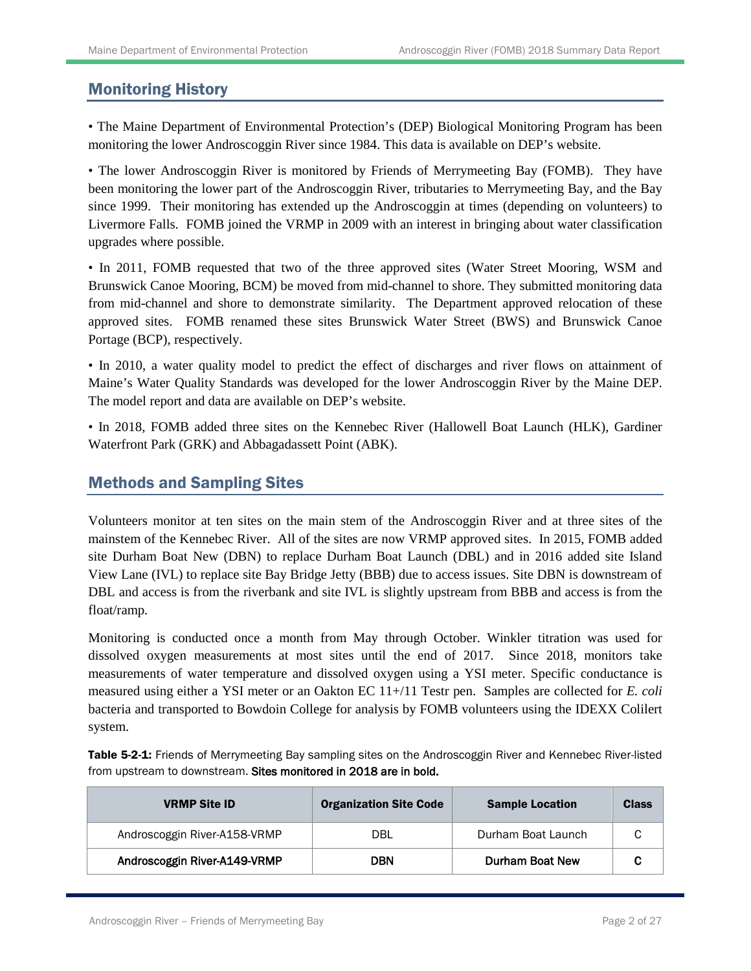## Monitoring History

• The Maine Department of Environmental Protection's (DEP) Biological Monitoring Program has been monitoring the lower Androscoggin River since 1984. This data is available on DEP's website.

• The lower Androscoggin River is monitored by Friends of Merrymeeting Bay (FOMB). They have been monitoring the lower part of the Androscoggin River, tributaries to Merrymeeting Bay, and the Bay since 1999. Their monitoring has extended up the Androscoggin at times (depending on volunteers) to Livermore Falls. FOMB joined the VRMP in 2009 with an interest in bringing about water classification upgrades where possible.

• In 2011, FOMB requested that two of the three approved sites (Water Street Mooring, WSM and Brunswick Canoe Mooring, BCM) be moved from mid-channel to shore. They submitted monitoring data from mid-channel and shore to demonstrate similarity. The Department approved relocation of these approved sites. FOMB renamed these sites Brunswick Water Street (BWS) and Brunswick Canoe Portage (BCP), respectively.

• In 2010, a water quality model to predict the effect of discharges and river flows on attainment of Maine's Water Quality Standards was developed for the lower Androscoggin River by the Maine DEP. The model report and data are available on DEP's website.

• In 2018, FOMB added three sites on the Kennebec River (Hallowell Boat Launch (HLK), Gardiner Waterfront Park (GRK) and Abbagadassett Point (ABK).

## Methods and Sampling Sites

Volunteers monitor at ten sites on the main stem of the Androscoggin River and at three sites of the mainstem of the Kennebec River. All of the sites are now VRMP approved sites. In 2015, FOMB added site Durham Boat New (DBN) to replace Durham Boat Launch (DBL) and in 2016 added site Island View Lane (IVL) to replace site Bay Bridge Jetty (BBB) due to access issues. Site DBN is downstream of DBL and access is from the riverbank and site IVL is slightly upstream from BBB and access is from the float/ramp.

Monitoring is conducted once a month from May through October. Winkler titration was used for dissolved oxygen measurements at most sites until the end of 2017. Since 2018, monitors take measurements of water temperature and dissolved oxygen using a YSI meter. Specific conductance is measured using either a YSI meter or an Oakton EC 11+/11 Testr pen. Samples are collected for *E. coli* bacteria and transported to Bowdoin College for analysis by FOMB volunteers using the IDEXX Colilert system.

Table 5-2-1: Friends of Merrymeeting Bay sampling sites on the Androscoggin River and Kennebec River-listed from upstream to downstream. Sites monitored in 2018 are in bold.

| <b>VRMP Site ID</b>          | <b>Organization Site Code</b> | <b>Sample Location</b> | <b>Class</b> |
|------------------------------|-------------------------------|------------------------|--------------|
| Androscoggin River-A158-VRMP | DBL                           | Durham Boat Launch     | C            |
| Androscoggin River-A149-VRMP | <b>DBN</b>                    | Durham Boat New        |              |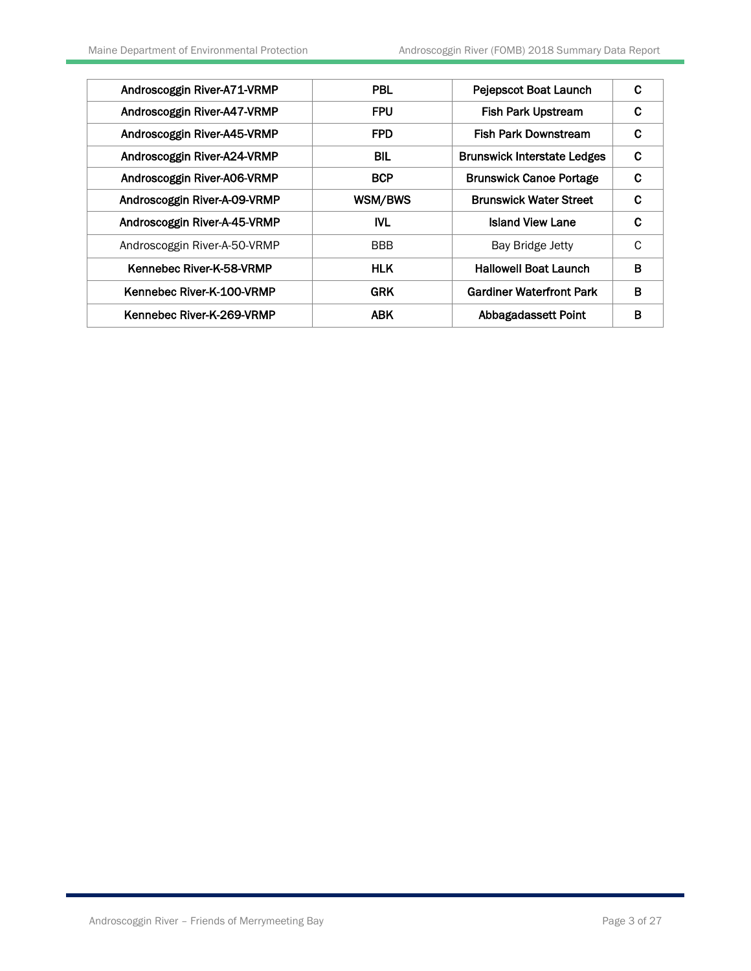| Androscoggin River-A71-VRMP  | <b>PBL</b> | Pejepscot Boat Launch              | C |
|------------------------------|------------|------------------------------------|---|
| Androscoggin River-A47-VRMP  | <b>FPU</b> | <b>Fish Park Upstream</b>          | C |
| Androscoggin River-A45-VRMP  | <b>FPD</b> | <b>Fish Park Downstream</b>        | C |
| Androscoggin River-A24-VRMP  | <b>BIL</b> | <b>Brunswick Interstate Ledges</b> | C |
| Androscoggin River-A06-VRMP  | <b>BCP</b> | <b>Brunswick Canoe Portage</b>     | C |
| Androscoggin River-A-09-VRMP | WSM/BWS    | <b>Brunswick Water Street</b>      | C |
| Androscoggin River-A-45-VRMP | <b>IVL</b> | <b>Island View Lane</b>            | C |
| Androscoggin River-A-50-VRMP | <b>BBB</b> | Bay Bridge Jetty                   | C |
| Kennebec River-K-58-VRMP     | <b>HLK</b> | <b>Hallowell Boat Launch</b>       | B |
| Kennebec River-K-100-VRMP    | <b>GRK</b> | <b>Gardiner Waterfront Park</b>    | в |
| Kennebec River-K-269-VRMP    | <b>ABK</b> | Abbagadassett Point                | в |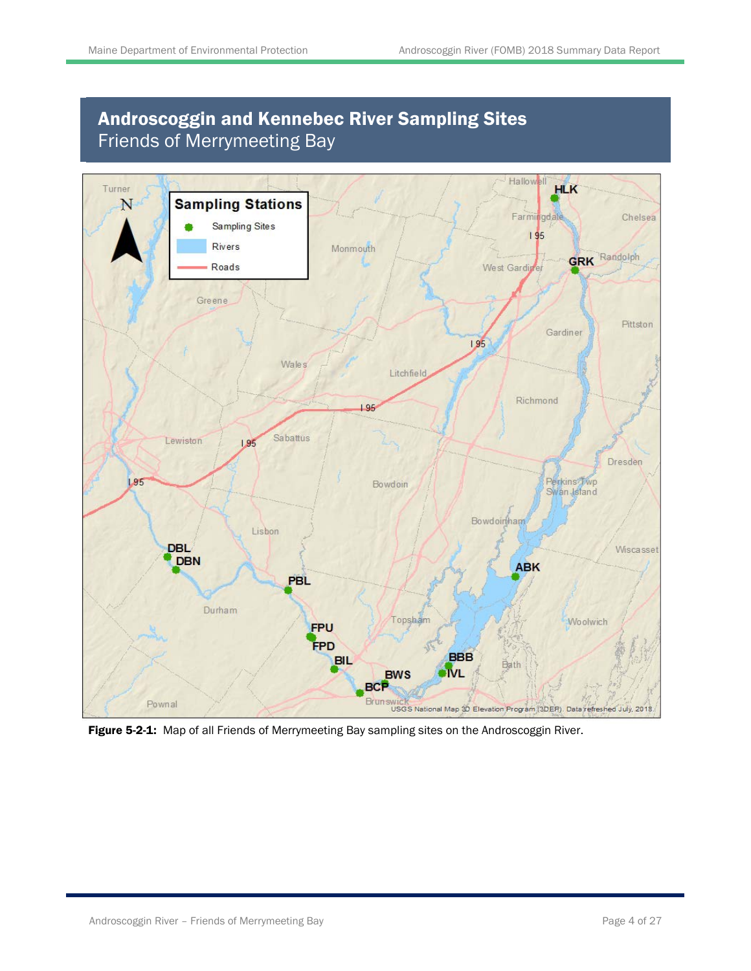# Androscoggin and Kennebec River Sampling Sites Friends of Merrymeeting Bay



Figure 5-2-1: Map of all Friends of Merrymeeting Bay sampling sites on the Androscoggin River.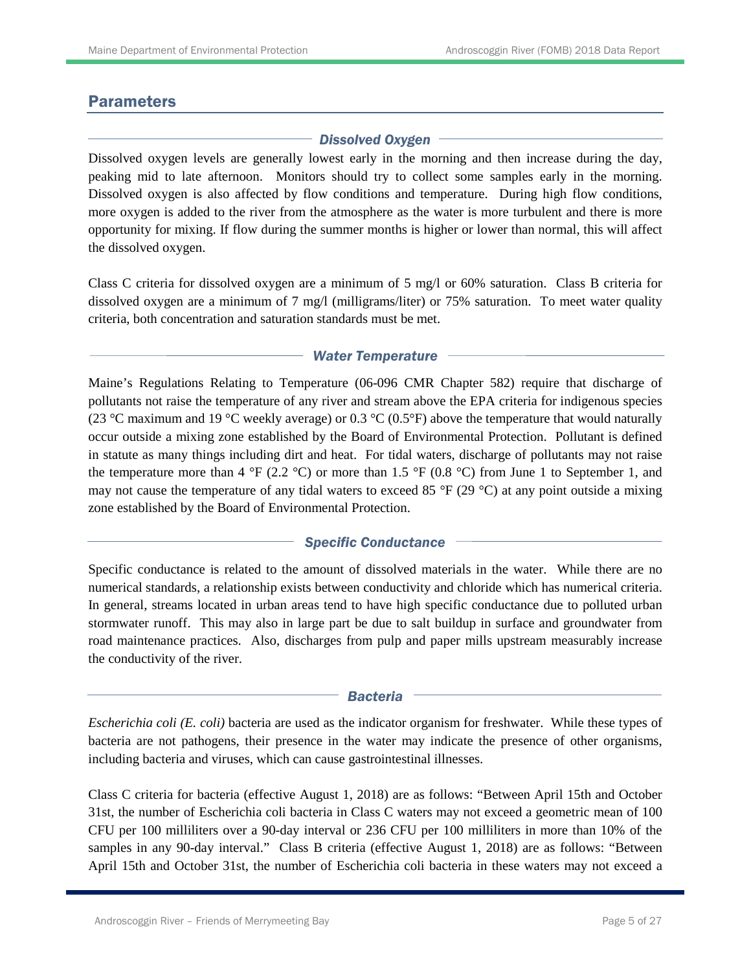## **Parameters**

### *Dissolved Oxygen*

Dissolved oxygen levels are generally lowest early in the morning and then increase during the day, peaking mid to late afternoon. Monitors should try to collect some samples early in the morning. Dissolved oxygen is also affected by flow conditions and temperature. During high flow conditions, more oxygen is added to the river from the atmosphere as the water is more turbulent and there is more opportunity for mixing. If flow during the summer months is higher or lower than normal, this will affect the dissolved oxygen.

Class C criteria for dissolved oxygen are a minimum of 5 mg/l or 60% saturation. Class B criteria for dissolved oxygen are a minimum of 7 mg/l (milligrams/liter) or 75% saturation. To meet water quality criteria, both concentration and saturation standards must be met.

#### *Water Temperature*

Maine's Regulations Relating to Temperature (06-096 CMR Chapter 582) require that discharge of pollutants not raise the temperature of any river and stream above the EPA criteria for indigenous species (23 °C maximum and 19 °C weekly average) or 0.3 °C (0.5°F) above the temperature that would naturally occur outside a mixing zone established by the Board of Environmental Protection. Pollutant is defined in statute as many things including dirt and heat. For tidal waters, discharge of pollutants may not raise the temperature more than 4 °F (2.2 °C) or more than 1.5 °F (0.8 °C) from June 1 to September 1, and may not cause the temperature of any tidal waters to exceed 85  $\degree$ F (29  $\degree$ C) at any point outside a mixing zone established by the Board of Environmental Protection.

### *Specific Conductance*

Specific conductance is related to the amount of dissolved materials in the water. While there are no numerical standards, a relationship exists between conductivity and chloride which has numerical criteria. In general, streams located in urban areas tend to have high specific conductance due to polluted urban stormwater runoff. This may also in large part be due to salt buildup in surface and groundwater from road maintenance practices. Also, discharges from pulp and paper mills upstream measurably increase the conductivity of the river.

#### *Bacteria*

*Escherichia coli (E. coli)* bacteria are used as the indicator organism for freshwater. While these types of bacteria are not pathogens, their presence in the water may indicate the presence of other organisms, including bacteria and viruses, which can cause gastrointestinal illnesses.

Class C criteria for bacteria (effective August 1, 2018) are as follows: "Between April 15th and October 31st, the number of Escherichia coli bacteria in Class C waters may not exceed a geometric mean of 100 CFU per 100 milliliters over a 90-day interval or 236 CFU per 100 milliliters in more than 10% of the samples in any 90-day interval." Class B criteria (effective August 1, 2018) are as follows: "Between April 15th and October 31st, the number of Escherichia coli bacteria in these waters may not exceed a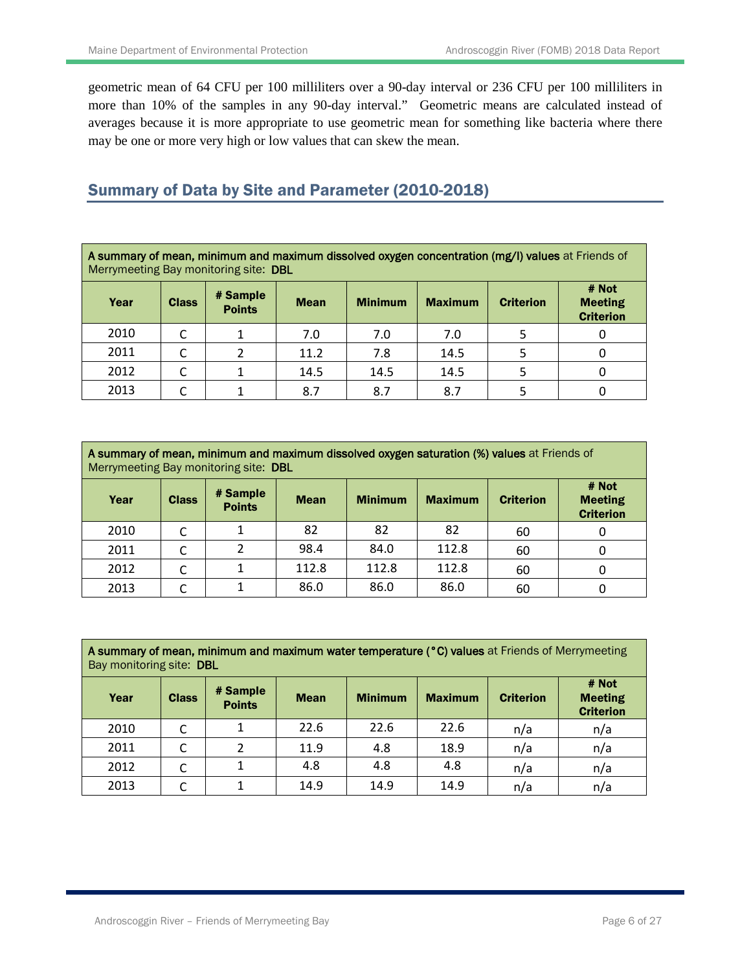geometric mean of 64 CFU per 100 milliliters over a 90-day interval or 236 CFU per 100 milliliters in more than 10% of the samples in any 90-day interval." Geometric means are calculated instead of averages because it is more appropriate to use geometric mean for something like bacteria where there may be one or more very high or low values that can skew the mean.

## Summary of Data by Site and Parameter (2010-2018)

A summary of mean, minimum and maximum dissolved oxygen concentration (mg/l) values at Friends of Merrymeeting Bay monitoring site: DBL

| Year | <b>Class</b> | # Sample<br><b>Points</b> | <b>Mean</b> | <b>Minimum</b> | <b>Maximum</b> | <b>Criterion</b> | # Not<br><b>Meeting</b><br><b>Criterion</b> |
|------|--------------|---------------------------|-------------|----------------|----------------|------------------|---------------------------------------------|
| 2010 |              |                           | 7.0         | 7.0            | 7.0            |                  | O                                           |
| 2011 |              |                           | 11.2        | 7.8            | 14.5           |                  | 0                                           |
| 2012 |              |                           | 14.5        | 14.5           | 14.5           |                  | 0                                           |
| 2013 |              |                           | 8.7         | 8.7            | 8.7            |                  |                                             |

| A summary of mean, minimum and maximum dissolved oxygen saturation (%) values at Friends of<br>Merrymeeting Bay monitoring site: DBL |  |  |       |       |                |                  |                                             |  |  |  |
|--------------------------------------------------------------------------------------------------------------------------------------|--|--|-------|-------|----------------|------------------|---------------------------------------------|--|--|--|
| # Sample<br>Year<br><b>Class</b><br><b>Minimum</b><br><b>Mean</b><br><b>Points</b>                                                   |  |  |       |       | <b>Maximum</b> | <b>Criterion</b> | # Not<br><b>Meeting</b><br><b>Criterion</b> |  |  |  |
| 2010                                                                                                                                 |  |  | 82    | 82    | 82             | 60               |                                             |  |  |  |
| 2011                                                                                                                                 |  |  | 98.4  | 84.0  | 112.8          | 60               |                                             |  |  |  |
| 2012                                                                                                                                 |  |  | 112.8 | 112.8 | 112.8          | 60               |                                             |  |  |  |
| 2013                                                                                                                                 |  |  | 86.0  | 86.0  | 86.0           | 60               |                                             |  |  |  |

A summary of mean, minimum and maximum water temperature (°C) values at Friends of Merrymeeting Bay monitoring site: DBL

| Year | <b>Class</b> | # Sample<br><b>Points</b> | <b>Mean</b> | <b>Minimum</b> | <b>Maximum</b> | <b>Criterion</b> | # Not<br><b>Meeting</b><br><b>Criterion</b> |
|------|--------------|---------------------------|-------------|----------------|----------------|------------------|---------------------------------------------|
| 2010 |              |                           | 22.6        | 22.6           | 22.6           | n/a              | n/a                                         |
| 2011 |              |                           | 11.9        | 4.8            | 18.9           | n/a              | n/a                                         |
| 2012 |              |                           | 4.8         | 4.8            | 4.8            | n/a              | n/a                                         |
| 2013 |              |                           | 14.9        | 14.9           | 14.9           | n/a              | n/a                                         |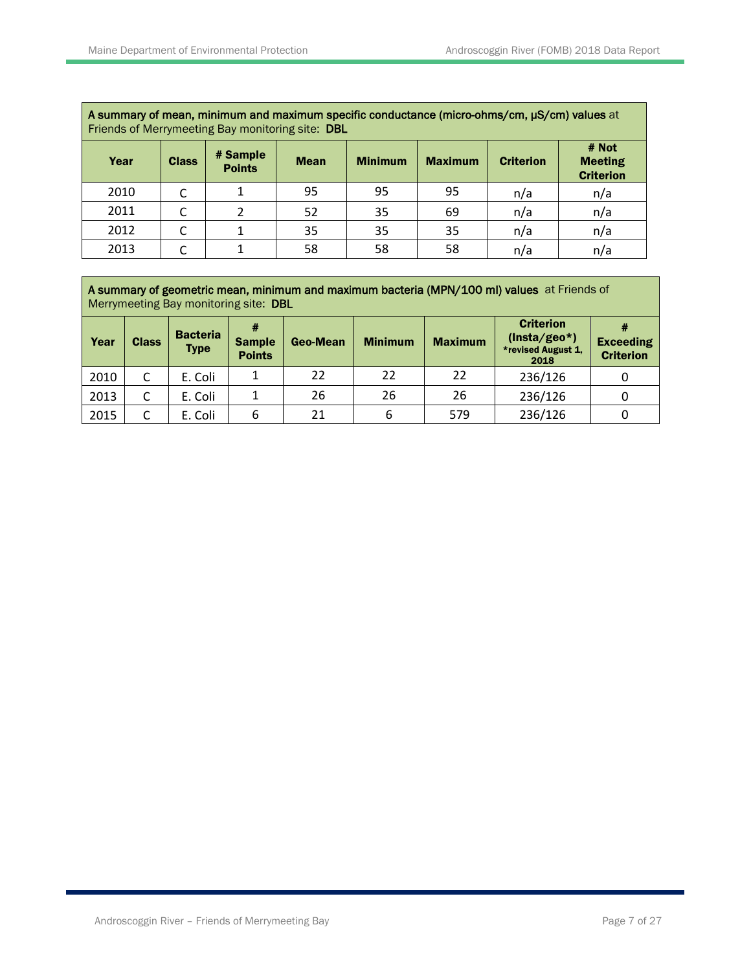|      | A summary of mean, minimum and maximum specific conductance (micro-ohms/cm, µS/cm) values at<br>Friends of Merrymeeting Bay monitoring site: DBL |                           |             |                |                |                  |                                             |  |  |  |  |
|------|--------------------------------------------------------------------------------------------------------------------------------------------------|---------------------------|-------------|----------------|----------------|------------------|---------------------------------------------|--|--|--|--|
| Year | <b>Class</b>                                                                                                                                     | # Sample<br><b>Points</b> | <b>Mean</b> | <b>Minimum</b> | <b>Maximum</b> | <b>Criterion</b> | # Not<br><b>Meeting</b><br><b>Criterion</b> |  |  |  |  |
| 2010 |                                                                                                                                                  |                           | 95          | 95             | 95             | n/a              | n/a                                         |  |  |  |  |
| 2011 |                                                                                                                                                  |                           | 52          | 35             | 69             | n/a              | n/a                                         |  |  |  |  |
| 2012 |                                                                                                                                                  |                           | 35          | 35             | 35             | n/a              | n/a                                         |  |  |  |  |
| 2013 |                                                                                                                                                  |                           | 58          | 58             | 58             | n/a              | n/a                                         |  |  |  |  |

A summary of geometric mean, minimum and maximum bacteria (MPN/100 ml) values at Friends of Merrymeeting Bay monitoring site: DBL

| Year | <b>Class</b> | <b>Bacteria</b><br><b>Type</b> | #<br><b>Sample</b><br><b>Points</b> | Geo-Mean | <b>Minimum</b> | <b>Maximum</b> | <b>Criterion</b><br>$(Insta/geo*)$<br>*revised August 1,<br>2018 | <b>Exceeding</b><br><b>Criterion</b> |
|------|--------------|--------------------------------|-------------------------------------|----------|----------------|----------------|------------------------------------------------------------------|--------------------------------------|
| 2010 | C            | E. Coli                        |                                     | 22       | 22             | 22             | 236/126                                                          |                                      |
| 2013 |              | E. Coli                        |                                     | 26       | 26             | 26             | 236/126                                                          |                                      |
| 2015 | C            | E. Coli                        | b                                   | 21       | 6              | 579            | 236/126                                                          |                                      |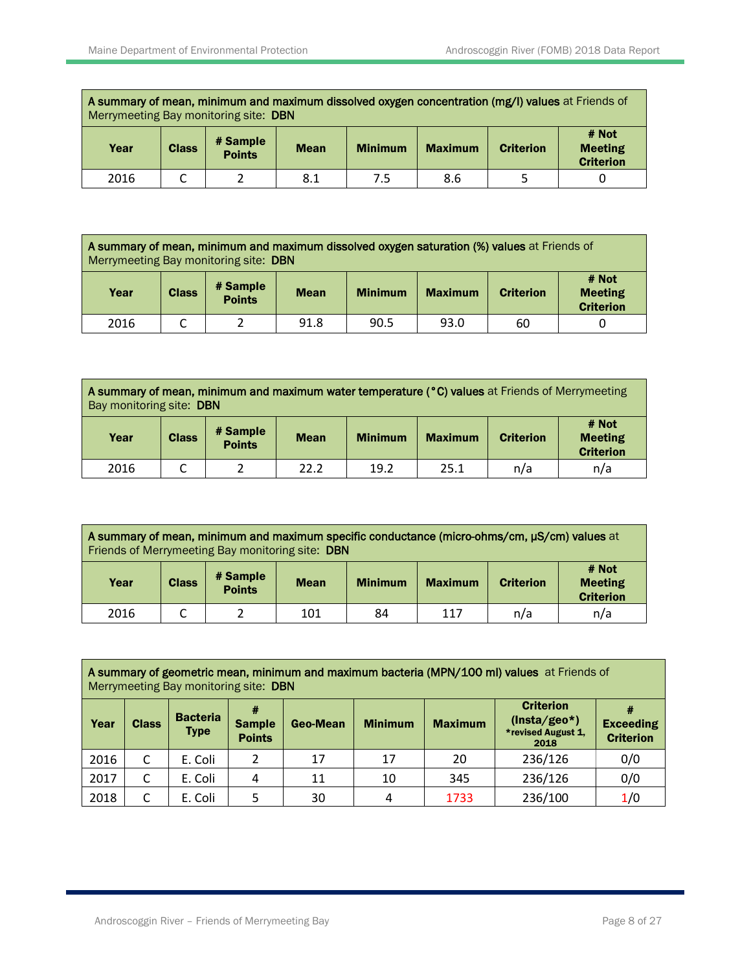A summary of mean, minimum and maximum dissolved oxygen concentration (mg/l) values at Friends of Merrymeeting Bay monitoring site: DBN

| Year | <b>Class</b> | # Sample<br><b>Points</b> | <b>Mean</b> | <b>Minimum</b> | <b>Maximum</b> | <b>Criterion</b> | # Not<br><b>Meeting</b><br><b>Criterion</b> |
|------|--------------|---------------------------|-------------|----------------|----------------|------------------|---------------------------------------------|
| 2016 | ๛            | ∸                         | 8.1         | 7.5            | 8.6            | ٠                |                                             |

|                                                                                                                                                                         | A summary of mean, minimum and maximum dissolved oxygen saturation (%) values at Friends of<br>Merrymeeting Bay monitoring site: DBN |  |      |      |      |    |  |  |  |  |
|-------------------------------------------------------------------------------------------------------------------------------------------------------------------------|--------------------------------------------------------------------------------------------------------------------------------------|--|------|------|------|----|--|--|--|--|
| # Not<br># Sample<br><b>Class</b><br><b>Meeting</b><br>Year<br><b>Minimum</b><br><b>Criterion</b><br><b>Maximum</b><br><b>Mean</b><br><b>Points</b><br><b>Criterion</b> |                                                                                                                                      |  |      |      |      |    |  |  |  |  |
| 2016                                                                                                                                                                    |                                                                                                                                      |  | 91.8 | 90.5 | 93.0 | 60 |  |  |  |  |

A summary of mean, minimum and maximum water temperature (°C) values at Friends of Merrymeeting Bay monitoring site: DBN

| Year | <b>Class</b> | # Sample<br><b>Points</b> | <b>Mean</b> | <b>Minimum</b> | <b>Maximum</b> | <b>Criterion</b> | # Not<br><b>Meeting</b><br><b>Criterion</b> |
|------|--------------|---------------------------|-------------|----------------|----------------|------------------|---------------------------------------------|
| 2016 | ๛            | ے                         | 22.2        | 19.2           | 25.1           | n/a              | n/a                                         |

| A summary of mean, minimum and maximum specific conductance (micro-ohms/cm, µS/cm) values at<br>Friends of Merrymeeting Bay monitoring site: DBN |                                                                                              |  |     |    |     |     |                                             |  |  |
|--------------------------------------------------------------------------------------------------------------------------------------------------|----------------------------------------------------------------------------------------------|--|-----|----|-----|-----|---------------------------------------------|--|--|
| Year                                                                                                                                             | # Sample<br><b>Class</b><br><b>Minimum</b><br><b>Maximum</b><br><b>Mean</b><br><b>Points</b> |  |     |    |     |     | # Not<br><b>Meeting</b><br><b>Criterion</b> |  |  |
| 2016                                                                                                                                             |                                                                                              |  | 101 | 84 | 117 | n/a | n/a                                         |  |  |

| A summary of geometric mean, minimum and maximum bacteria (MPN/100 ml) values at Friends of<br>Merrymeeting Bay monitoring site: DBN |   |         |   |    |    |                |                                                                  |                                      |  |  |
|--------------------------------------------------------------------------------------------------------------------------------------|---|---------|---|----|----|----------------|------------------------------------------------------------------|--------------------------------------|--|--|
| <b>Bacteria</b><br>Year<br><b>Minimum</b><br><b>Class</b><br>Geo-Mean<br><b>Sample</b><br><b>Type</b><br><b>Points</b>               |   |         |   |    |    | <b>Maximum</b> | <b>Criterion</b><br>$(Insta/geo*)$<br>*revised August 1,<br>2018 | <b>Exceeding</b><br><b>Criterion</b> |  |  |
| 2016                                                                                                                                 | C | E. Coli | 2 | 17 | 17 | 20             | 236/126                                                          | 0/0                                  |  |  |
| 2017                                                                                                                                 | C | E. Coli | 4 | 11 | 10 | 345            | 236/126                                                          | 0/0                                  |  |  |
| 2018                                                                                                                                 | C | E. Coli | 5 | 30 |    | 1733           | 236/100                                                          | 1/0                                  |  |  |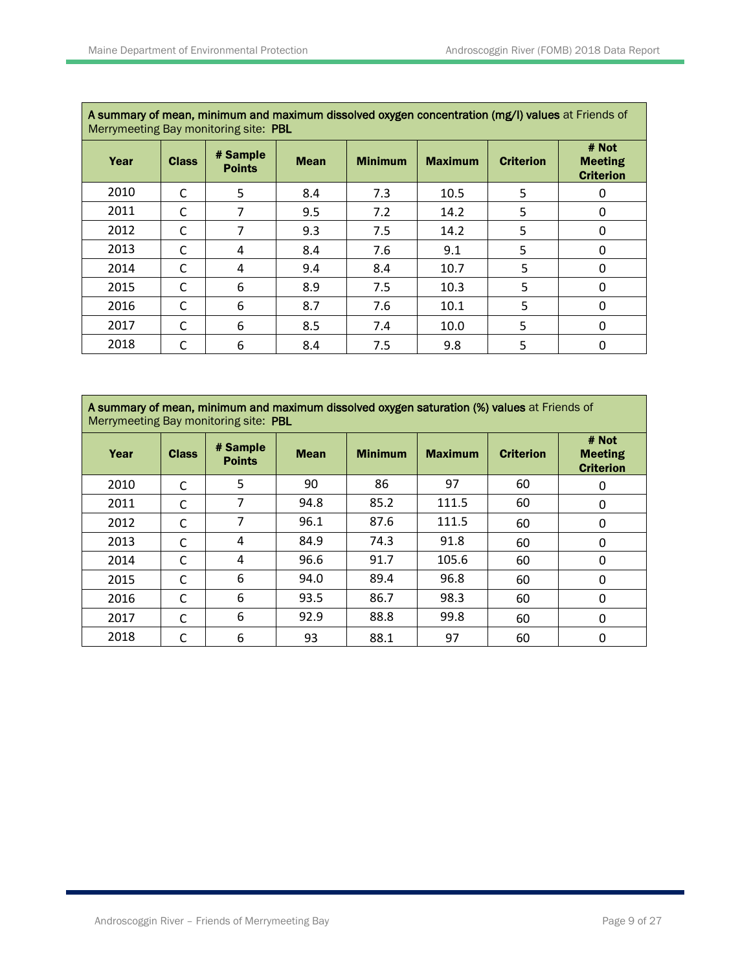| A Summary of mean, minimum and maximum dissolved oxygen concentration (mg/i) values at Friends of<br>Merrymeeting Bay monitoring site: PBL |              |                           |             |                |                |                  |                                             |  |  |  |  |
|--------------------------------------------------------------------------------------------------------------------------------------------|--------------|---------------------------|-------------|----------------|----------------|------------------|---------------------------------------------|--|--|--|--|
| Year                                                                                                                                       | <b>Class</b> | # Sample<br><b>Points</b> | <b>Mean</b> | <b>Minimum</b> | <b>Maximum</b> | <b>Criterion</b> | # Not<br><b>Meeting</b><br><b>Criterion</b> |  |  |  |  |
| 2010                                                                                                                                       | C            | 5                         | 8.4         | 7.3            | 10.5           | 5                | 0                                           |  |  |  |  |
| 2011                                                                                                                                       | C            | 7                         | 9.5         | 7.2            | 14.2           | 5                | $\Omega$                                    |  |  |  |  |
| 2012                                                                                                                                       | C            | 7                         | 9.3         | 7.5            | 14.2           | 5                | $\Omega$                                    |  |  |  |  |
| 2013                                                                                                                                       | C            | 4                         | 8.4         | 7.6            | 9.1            | 5                | $\Omega$                                    |  |  |  |  |
| 2014                                                                                                                                       | C            | 4                         | 9.4         | 8.4            | 10.7           | 5                | 0                                           |  |  |  |  |
| 2015                                                                                                                                       | C            | 6                         | 8.9         | 7.5            | 10.3           | 5                | 0                                           |  |  |  |  |
| 2016                                                                                                                                       | C            | 6                         | 8.7         | 7.6            | 10.1           | 5                | 0                                           |  |  |  |  |
| 2017                                                                                                                                       | C            | 6                         | 8.5         | 7.4            | 10.0           | 5                | 0                                           |  |  |  |  |
| 2018                                                                                                                                       | C            | 6                         | 8.4         | 7.5            | 9.8            | 5                | 0                                           |  |  |  |  |

**A summary of mean, minimum and maximum dissolved oxygen saturation (%) values** at Friends of Merrymeeting Bay monitoring site: PBL

| Year | <b>Class</b> | # Sample<br><b>Points</b> | <b>Mean</b> | <b>Minimum</b> | <b>Maximum</b> | <b>Criterion</b> | # Not<br><b>Meeting</b><br><b>Criterion</b> |
|------|--------------|---------------------------|-------------|----------------|----------------|------------------|---------------------------------------------|
| 2010 | C            | 5                         | 90          | 86             | 97             | 60               | 0                                           |
| 2011 | C            | 7                         | 94.8        | 85.2           | 111.5          | 60               | 0                                           |
| 2012 | C            | 7                         | 96.1        | 87.6           | 111.5          | 60               | 0                                           |
| 2013 | С            | 4                         | 84.9        | 74.3           | 91.8           | 60               | 0                                           |
| 2014 | C            | 4                         | 96.6        | 91.7           | 105.6          | 60               | 0                                           |
| 2015 | C            | 6                         | 94.0        | 89.4           | 96.8           | 60               | 0                                           |
| 2016 | C            | 6                         | 93.5        | 86.7           | 98.3           | 60               | 0                                           |
| 2017 | C            | 6                         | 92.9        | 88.8           | 99.8           | 60               | 0                                           |
| 2018 | C            | 6                         | 93          | 88.1           | 97             | 60               | 0                                           |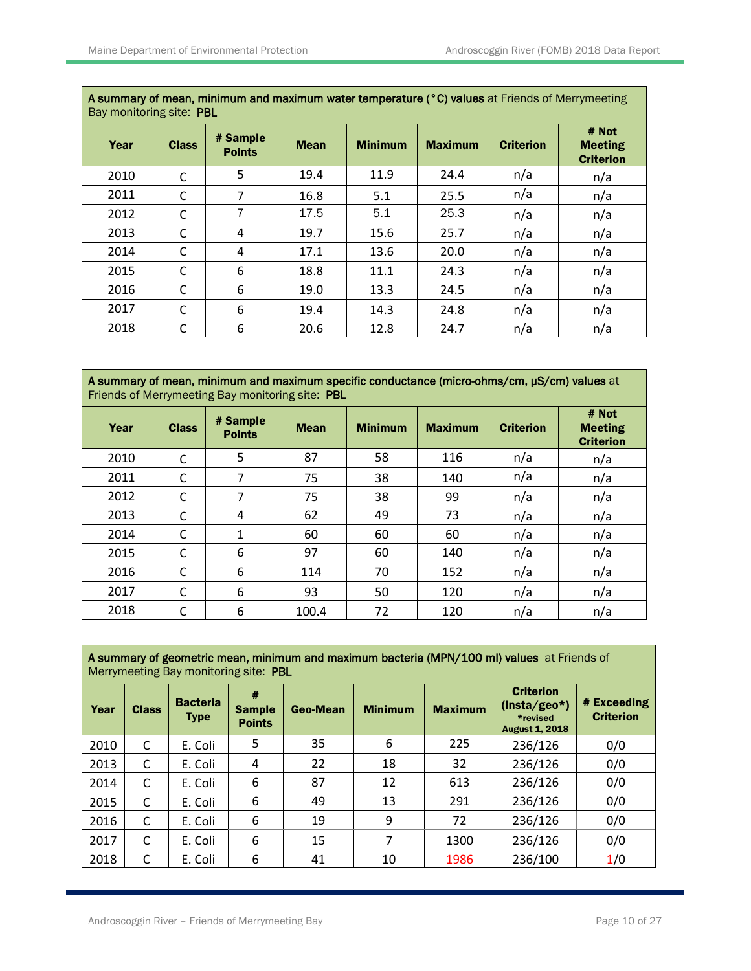| Bay monitoring site: PBL |              |                           |             |                |                |                  |                                             |  |  |  |
|--------------------------|--------------|---------------------------|-------------|----------------|----------------|------------------|---------------------------------------------|--|--|--|
| Year                     | <b>Class</b> | # Sample<br><b>Points</b> | <b>Mean</b> | <b>Minimum</b> | <b>Maximum</b> | <b>Criterion</b> | # Not<br><b>Meeting</b><br><b>Criterion</b> |  |  |  |
| 2010                     | C            | 5                         | 19.4        | 11.9           | 24.4           | n/a              | n/a                                         |  |  |  |
| 2011                     | C            | 7                         | 16.8        | 5.1            | 25.5           | n/a              | n/a                                         |  |  |  |
| 2012                     | C            | $\overline{7}$            | 17.5        | 5.1            | 25.3           | n/a              | n/a                                         |  |  |  |
| 2013                     | C            | 4                         | 19.7        | 15.6           | 25.7           | n/a              | n/a                                         |  |  |  |
| 2014                     | C            | 4                         | 17.1        | 13.6           | 20.0           | n/a              | n/a                                         |  |  |  |
| 2015                     | C            | 6                         | 18.8        | 11.1           | 24.3           | n/a              | n/a                                         |  |  |  |
| 2016                     | C            | 6                         | 19.0        | 13.3           | 24.5           | n/a              | n/a                                         |  |  |  |
| 2017                     | C            | 6                         | 19.4        | 14.3           | 24.8           | n/a              | n/a                                         |  |  |  |
| 2018                     | C            | 6                         | 20.6        | 12.8           | 24.7           | n/a              | n/a                                         |  |  |  |

A summary of mean, minimum and maximum water temperature (°C) values at Friends of Merrymeeting

A summary of mean, minimum and maximum specific conductance (micro-ohms/cm, µS/cm) values at Friends of Merrymeeting Bay monitoring site: PBL

| Year | <b>Class</b> | # Sample<br><b>Points</b> | <b>Mean</b> | <b>Minimum</b> | <b>Maximum</b> | <b>Criterion</b> | # Not<br><b>Meeting</b><br><b>Criterion</b> |
|------|--------------|---------------------------|-------------|----------------|----------------|------------------|---------------------------------------------|
| 2010 | C            | 5                         | 87          | 58             | 116            | n/a              | n/a                                         |
| 2011 | C            | 7                         | 75          | 38             | 140            | n/a              | n/a                                         |
| 2012 | C            | 7                         | 75          | 38             | 99             | n/a              | n/a                                         |
| 2013 | C            | 4                         | 62          | 49             | 73             | n/a              | n/a                                         |
| 2014 | C            | 1                         | 60          | 60             | 60             | n/a              | n/a                                         |
| 2015 | C            | 6                         | 97          | 60             | 140            | n/a              | n/a                                         |
| 2016 | C            | 6                         | 114         | 70             | 152            | n/a              | n/a                                         |
| 2017 | C            | 6                         | 93          | 50             | 120            | n/a              | n/a                                         |
| 2018 | C            | 6                         | 100.4       | 72             | 120            | n/a              | n/a                                         |

| A summary of geometric mean, minimum and maximum bacteria (MPN/100 ml) values at Friends of<br>Merrymeeting Bay monitoring site: PBL |              |                                |                                     |          |                |                |                                                                         |                                 |  |  |  |
|--------------------------------------------------------------------------------------------------------------------------------------|--------------|--------------------------------|-------------------------------------|----------|----------------|----------------|-------------------------------------------------------------------------|---------------------------------|--|--|--|
| Year                                                                                                                                 | <b>Class</b> | <b>Bacteria</b><br><b>Type</b> | #<br><b>Sample</b><br><b>Points</b> | Geo-Mean | <b>Minimum</b> | <b>Maximum</b> | <b>Criterion</b><br>$(Insta/geo*)$<br>*revised<br><b>August 1, 2018</b> | # Exceeding<br><b>Criterion</b> |  |  |  |
| 2010                                                                                                                                 | C            | E. Coli                        | 5                                   | 35       | 6              | 225            | 236/126                                                                 | 0/0                             |  |  |  |
| 2013                                                                                                                                 | C            | E. Coli                        | 4                                   | 22       | 18             | 32             | 236/126                                                                 | 0/0                             |  |  |  |
| 2014                                                                                                                                 | C            | E. Coli                        | 6                                   | 87       | 12             | 613            | 236/126                                                                 | 0/0                             |  |  |  |
| 2015                                                                                                                                 | C            | E. Coli                        | 6                                   | 49       | 13             | 291            | 236/126                                                                 | 0/0                             |  |  |  |
| 2016                                                                                                                                 | C            | E. Coli                        | 6                                   | 19       | 9              | 72             | 236/126                                                                 | 0/0                             |  |  |  |
| 2017                                                                                                                                 | C            | E. Coli                        | 6                                   | 15       | 7              | 1300           | 236/126                                                                 | 0/0                             |  |  |  |
| 2018                                                                                                                                 | C            | E. Coli                        | 6                                   | 41       | 10             | 1986           | 236/100                                                                 | 1/0                             |  |  |  |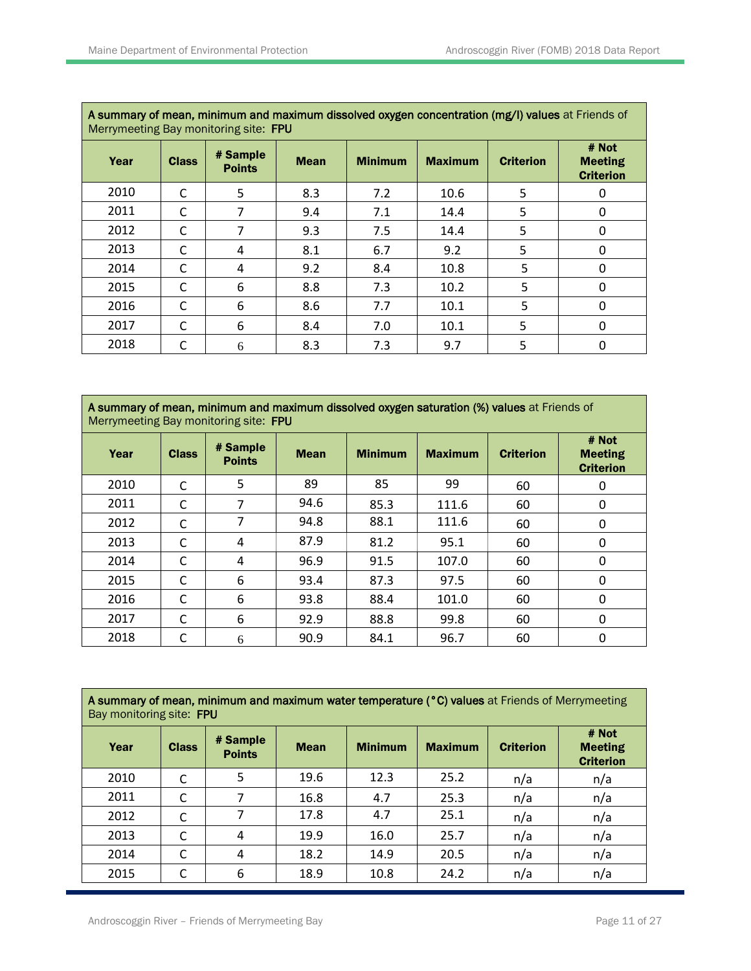| A Summary of mean, minimum and maximum dissolved oxygen concentration (mg/i) values at Friends of<br>Merrymeeting Bay monitoring site: FPU |              |                           |             |                |                |                  |                                             |  |  |  |  |
|--------------------------------------------------------------------------------------------------------------------------------------------|--------------|---------------------------|-------------|----------------|----------------|------------------|---------------------------------------------|--|--|--|--|
| Year                                                                                                                                       | <b>Class</b> | # Sample<br><b>Points</b> | <b>Mean</b> | <b>Minimum</b> | <b>Maximum</b> | <b>Criterion</b> | # Not<br><b>Meeting</b><br><b>Criterion</b> |  |  |  |  |
| 2010                                                                                                                                       | C            | 5                         | 8.3         | 7.2            | 10.6           | 5                |                                             |  |  |  |  |
| 2011                                                                                                                                       | C            | 7                         | 9.4         | 7.1            | 14.4           | 5                | 0                                           |  |  |  |  |
| 2012                                                                                                                                       | C            | 7                         | 9.3         | 7.5            | 14.4           | 5                | $\Omega$                                    |  |  |  |  |
| 2013                                                                                                                                       | C            | 4                         | 8.1         | 6.7            | 9.2            | 5                | $\Omega$                                    |  |  |  |  |
| 2014                                                                                                                                       | C            | 4                         | 9.2         | 8.4            | 10.8           | 5                | 0                                           |  |  |  |  |
| 2015                                                                                                                                       | C            | 6                         | 8.8         | 7.3            | 10.2           | 5                | 0                                           |  |  |  |  |
| 2016                                                                                                                                       | C            | 6                         | 8.6         | 7.7            | 10.1           | 5                | 0                                           |  |  |  |  |
| 2017                                                                                                                                       | C            | 6                         | 8.4         | 7.0            | 10.1           | 5                | 0                                           |  |  |  |  |
| 2018                                                                                                                                       | С            | 6                         | 8.3         | 7.3            | 9.7            | 5                | 0                                           |  |  |  |  |

**A summary of mean, minimum and maximum dissolved oxygen saturation (%) values** at Friends of Merrymeeting Bay monitoring site: FPU

| Year | <b>Class</b> | # Sample<br><b>Points</b> | <b>Mean</b> | <b>Minimum</b> | <b>Maximum</b> | <b>Criterion</b> | # Not<br><b>Meeting</b><br><b>Criterion</b> |
|------|--------------|---------------------------|-------------|----------------|----------------|------------------|---------------------------------------------|
| 2010 | C            | 5                         | 89          | 85             | 99             | 60               | 0                                           |
| 2011 | C            | 7                         | 94.6        | 85.3           | 111.6          | 60               | 0                                           |
| 2012 | C            | 7                         | 94.8        | 88.1           | 111.6          | 60               | 0                                           |
| 2013 | C            | 4                         | 87.9        | 81.2           | 95.1           | 60               | 0                                           |
| 2014 | C            | 4                         | 96.9        | 91.5           | 107.0          | 60               | 0                                           |
| 2015 | C            | 6                         | 93.4        | 87.3           | 97.5           | 60               | 0                                           |
| 2016 | C            | 6                         | 93.8        | 88.4           | 101.0          | 60               | 0                                           |
| 2017 | C            | 6                         | 92.9        | 88.8           | 99.8           | 60               | 0                                           |
| 2018 | C            | 6                         | 90.9        | 84.1           | 96.7           | 60               | 0                                           |

| A summary of mean, minimum and maximum water temperature (°C) values at Friends of Merrymeeting<br>Bay monitoring site: FPU |              |                           |             |                |                |                  |                                             |  |  |  |  |
|-----------------------------------------------------------------------------------------------------------------------------|--------------|---------------------------|-------------|----------------|----------------|------------------|---------------------------------------------|--|--|--|--|
| Year                                                                                                                        | <b>Class</b> | # Sample<br><b>Points</b> | <b>Mean</b> | <b>Minimum</b> | <b>Maximum</b> | <b>Criterion</b> | # Not<br><b>Meeting</b><br><b>Criterion</b> |  |  |  |  |
| 2010                                                                                                                        | C            | 5                         | 19.6        | 12.3           | 25.2           | n/a              | n/a                                         |  |  |  |  |
| 2011                                                                                                                        | C            |                           | 16.8        | 4.7            | 25.3           | n/a              | n/a                                         |  |  |  |  |
| 2012                                                                                                                        |              | 7                         | 17.8        | 4.7            | 25.1           | n/a              | n/a                                         |  |  |  |  |
| 2013                                                                                                                        | C            | 4                         | 19.9        | 16.0           | 25.7           | n/a              | n/a                                         |  |  |  |  |
| 2014                                                                                                                        |              | 4                         | 18.2        | 14.9           | 20.5           | n/a              | n/a                                         |  |  |  |  |
| 2015                                                                                                                        | C            | 6                         | 18.9        | 10.8           | 24.2           | n/a              | n/a                                         |  |  |  |  |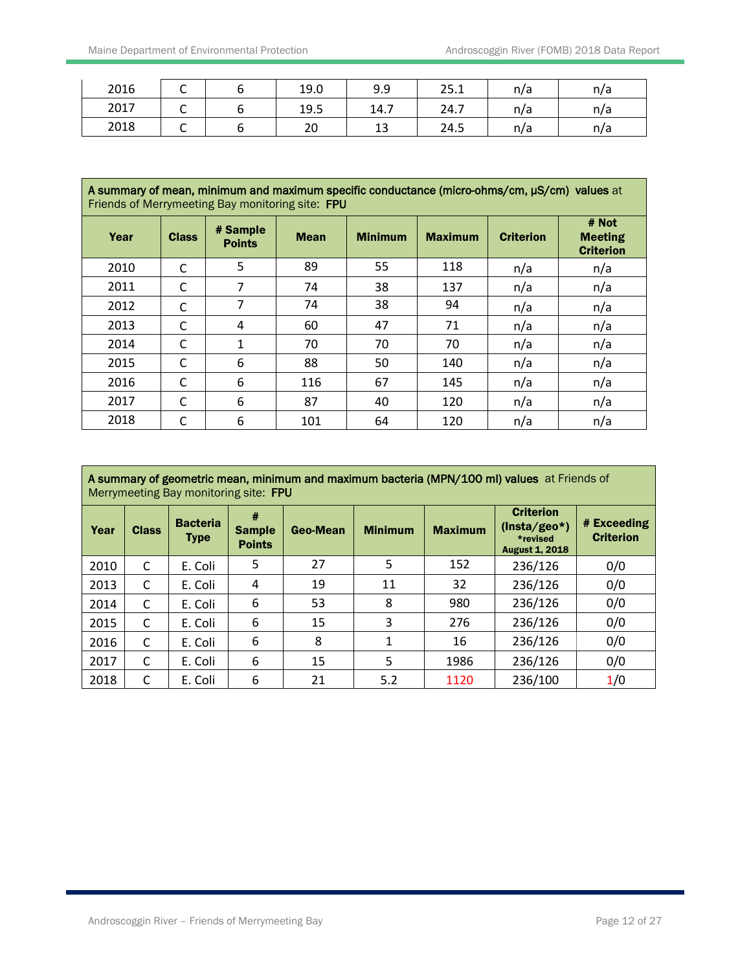| 2016 | ◡ | 19.0 | 9.9      | 25.1 | n/a | n/a |
|------|---|------|----------|------|-----|-----|
| 2017 | ֊ | 19.5 | 14.7     | 24.7 | n/a | n/a |
| 2018 | ֊ | 20   | 12<br>⊥ఎ | 24.5 | n/a | n/a |

| A summary of mean, minimum and maximum specific conductance (micro-ohms/cm, µS/cm) values at<br>Friends of Merrymeeting Bay monitoring site: FPU |              |                           |             |                |                |                  |                                             |  |  |  |
|--------------------------------------------------------------------------------------------------------------------------------------------------|--------------|---------------------------|-------------|----------------|----------------|------------------|---------------------------------------------|--|--|--|
| Year                                                                                                                                             | <b>Class</b> | # Sample<br><b>Points</b> | <b>Mean</b> | <b>Minimum</b> | <b>Maximum</b> | <b>Criterion</b> | # Not<br><b>Meeting</b><br><b>Criterion</b> |  |  |  |
| 2010                                                                                                                                             | C            | 5                         | 89          | 55             | 118            | n/a              | n/a                                         |  |  |  |
| 2011                                                                                                                                             | C            | 7                         | 74          | 38             | 137            | n/a              | n/a                                         |  |  |  |
| 2012                                                                                                                                             | C            | 7                         | 74          | 38             | 94             | n/a              | n/a                                         |  |  |  |
| 2013                                                                                                                                             | C            | 4                         | 60          | 47             | 71             | n/a              | n/a                                         |  |  |  |
| 2014                                                                                                                                             | C            | 1                         | 70          | 70             | 70             | n/a              | n/a                                         |  |  |  |
| 2015                                                                                                                                             | C            | 6                         | 88          | 50             | 140            | n/a              | n/a                                         |  |  |  |
| 2016                                                                                                                                             | C            | 6                         | 116         | 67             | 145            | n/a              | n/a                                         |  |  |  |
| 2017                                                                                                                                             | C            | 6                         | 87          | 40             | 120            | n/a              | n/a                                         |  |  |  |
| 2018                                                                                                                                             | C            | 6                         | 101         | 64             | 120            | n/a              | n/a                                         |  |  |  |

| A summary of geometric mean, minimum and maximum bacteria (MPN/100 ml) values at Friends of<br>Merrymeeting Bay monitoring site: FPU |              |                                |                                     |          |                |                |                                                                         |                                 |  |  |  |
|--------------------------------------------------------------------------------------------------------------------------------------|--------------|--------------------------------|-------------------------------------|----------|----------------|----------------|-------------------------------------------------------------------------|---------------------------------|--|--|--|
| Year                                                                                                                                 | <b>Class</b> | <b>Bacteria</b><br><b>Type</b> | #<br><b>Sample</b><br><b>Points</b> | Geo-Mean | <b>Minimum</b> | <b>Maximum</b> | <b>Criterion</b><br>$(Insta/geo*)$<br>*revised<br><b>August 1, 2018</b> | # Exceeding<br><b>Criterion</b> |  |  |  |
| 2010                                                                                                                                 | C            | E. Coli                        | 5                                   | 27       | 5              | 152            | 236/126                                                                 | 0/0                             |  |  |  |
| 2013                                                                                                                                 | C            | E. Coli                        | 4                                   | 19       | 11             | 32             | 236/126                                                                 | 0/0                             |  |  |  |
| 2014                                                                                                                                 | C            | E. Coli                        | 6                                   | 53       | 8              | 980            | 236/126                                                                 | 0/0                             |  |  |  |
| 2015                                                                                                                                 | C            | E. Coli                        | 6                                   | 15       | 3              | 276            | 236/126                                                                 | 0/0                             |  |  |  |
| 2016                                                                                                                                 | C            | E. Coli                        | 6                                   | 8        | 1              | 16             | 236/126                                                                 | 0/0                             |  |  |  |
| 2017                                                                                                                                 | C            | E. Coli                        | 6                                   | 15       | 5              | 1986           | 236/126                                                                 | 0/0                             |  |  |  |
| 2018                                                                                                                                 | C            | E. Coli                        | 6                                   | 21       | 5.2            | 1120           | 236/100                                                                 | 1/0                             |  |  |  |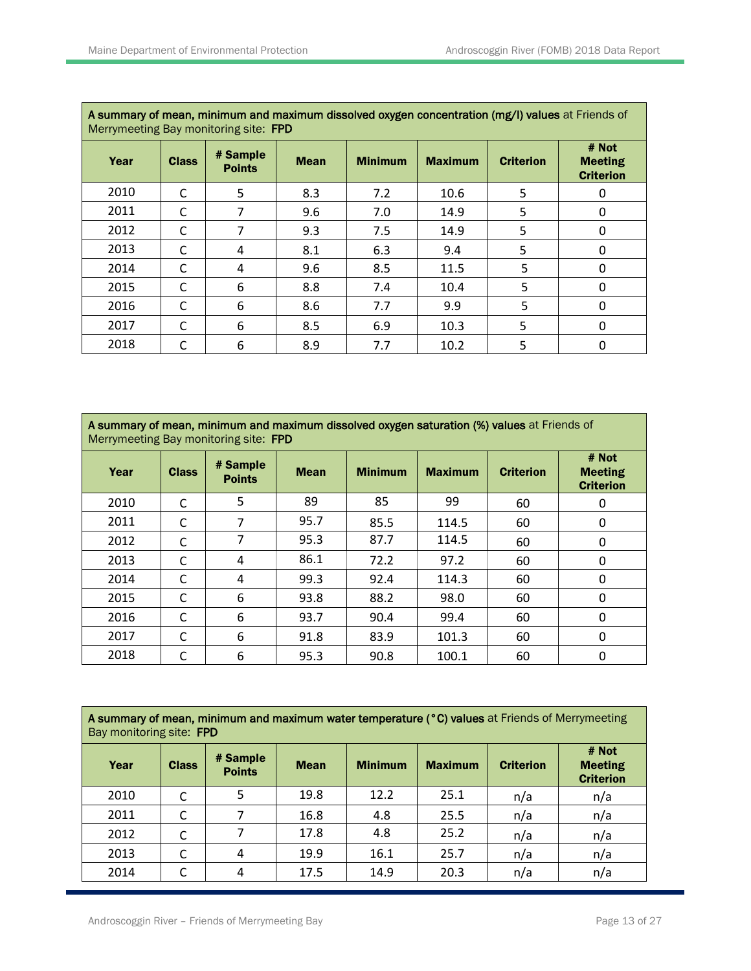| A summary of mean, minimum and maximum dissolved oxygen concentration (mg/i) values at Friends of<br>Merrymeeting Bay monitoring site: FPD |              |                           |             |                |                |                  |                                             |  |  |  |  |
|--------------------------------------------------------------------------------------------------------------------------------------------|--------------|---------------------------|-------------|----------------|----------------|------------------|---------------------------------------------|--|--|--|--|
| Year                                                                                                                                       | <b>Class</b> | # Sample<br><b>Points</b> | <b>Mean</b> | <b>Minimum</b> | <b>Maximum</b> | <b>Criterion</b> | # Not<br><b>Meeting</b><br><b>Criterion</b> |  |  |  |  |
| 2010                                                                                                                                       | C            | 5                         | 8.3         | 7.2            | 10.6           | 5                | 0                                           |  |  |  |  |
| 2011                                                                                                                                       | C            | 7                         | 9.6         | 7.0            | 14.9           | 5                | $\Omega$                                    |  |  |  |  |
| 2012                                                                                                                                       | C            | 7                         | 9.3         | 7.5            | 14.9           | 5                | $\Omega$                                    |  |  |  |  |
| 2013                                                                                                                                       | C            | 4                         | 8.1         | 6.3            | 9.4            | 5                | $\Omega$                                    |  |  |  |  |
| 2014                                                                                                                                       | C            | 4                         | 9.6         | 8.5            | 11.5           | 5                | 0                                           |  |  |  |  |
| 2015                                                                                                                                       | C            | 6                         | 8.8         | 7.4            | 10.4           | 5                | $\Omega$                                    |  |  |  |  |
| 2016                                                                                                                                       | C            | 6                         | 8.6         | 7.7            | 9.9            | 5                | 0                                           |  |  |  |  |
| 2017                                                                                                                                       | C            | 6                         | 8.5         | 6.9            | 10.3           | 5                | 0                                           |  |  |  |  |
| 2018                                                                                                                                       | C            | 6                         | 8.9         | 7.7            | 10.2           | 5                | 0                                           |  |  |  |  |

| A summary of mean, minimum and maximum dissolved oxygen saturation (%) values at Friends of<br>Merrymeeting Bay monitoring site: FPD |  |  |  |       |
|--------------------------------------------------------------------------------------------------------------------------------------|--|--|--|-------|
|                                                                                                                                      |  |  |  | # Not |

| Year | <b>Class</b> | # Sample<br><b>Points</b> | <b>Mean</b> | <b>Minimum</b> | <b>Maximum</b> | <b>Criterion</b> | # Not<br><b>Meeting</b><br><b>Criterion</b> |
|------|--------------|---------------------------|-------------|----------------|----------------|------------------|---------------------------------------------|
| 2010 | C            | 5                         | 89          | 85             | 99             | 60               | 0                                           |
| 2011 | C            | 7                         | 95.7        | 85.5           | 114.5          | 60               | 0                                           |
| 2012 | С            | 7                         | 95.3        | 87.7           | 114.5          | 60               | $\mathbf{0}$                                |
| 2013 | C            | 4                         | 86.1        | 72.2           | 97.2           | 60               | $\Omega$                                    |
| 2014 | C            | 4                         | 99.3        | 92.4           | 114.3          | 60               | $\mathbf{0}$                                |
| 2015 | C            | 6                         | 93.8        | 88.2           | 98.0           | 60               | $\Omega$                                    |
| 2016 | C            | 6                         | 93.7        | 90.4           | 99.4           | 60               | 0                                           |
| 2017 | C            | 6                         | 91.8        | 83.9           | 101.3          | 60               | 0                                           |
| 2018 | C            | 6                         | 95.3        | 90.8           | 100.1          | 60               | $\mathbf{0}$                                |

**A summary of mean, minimum and maximum water temperature (°C) values** at Friends of Merrymeeting Bay monitoring site: FPD

| Year | <b>Class</b> | # Sample<br><b>Points</b> | <b>Mean</b> | <b>Minimum</b> | <b>Maximum</b> | <b>Criterion</b> | # Not<br><b>Meeting</b><br><b>Criterion</b> |  |  |  |
|------|--------------|---------------------------|-------------|----------------|----------------|------------------|---------------------------------------------|--|--|--|
| 2010 | C            |                           | 19.8        | 12.2           | 25.1           | n/a              | n/a                                         |  |  |  |
| 2011 | C            |                           | 16.8        | 4.8            | 25.5           | n/a              | n/a                                         |  |  |  |
| 2012 | C            | 7                         | 17.8        | 4.8            | 25.2           | n/a              | n/a                                         |  |  |  |
| 2013 | C            | 4                         | 19.9        | 16.1           | 25.7           | n/a              | n/a                                         |  |  |  |
| 2014 | C            | 4                         | 17.5        | 14.9           | 20.3           | n/a              | n/a                                         |  |  |  |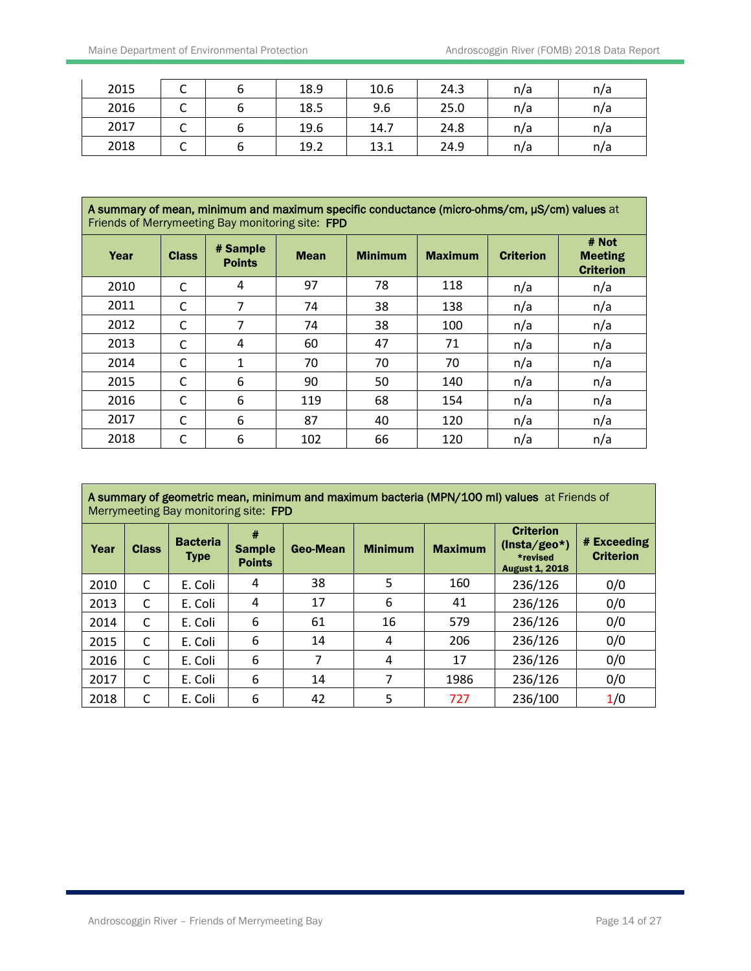| 2015 | ֊ | 18.9 | 10.6 | 24.3 | n/a | n/a |
|------|---|------|------|------|-----|-----|
| 2016 | ֊ | 18.5 | 9.6  | 25.0 | n/a | n/a |
| 2017 | ֊ | 19.6 | 14.7 | 24.8 | n/a | n/a |
| 2018 | ֊ | 19.2 | 13.1 | 24.9 | n/a | n/a |

| $\,$ A summary of mean, minimum and maximum specific conductance (micro-ohms/cm, $\mu$ S/cm) values at |
|--------------------------------------------------------------------------------------------------------|
| Friends of Merrymeeting Bay monitoring site: FPD                                                       |

| Year | <b>Class</b> | # Sample<br><b>Points</b> | <b>Mean</b> | <b>Minimum</b> | <b>Maximum</b> | <b>Criterion</b> | # Not<br><b>Meeting</b><br><b>Criterion</b> |  |  |  |
|------|--------------|---------------------------|-------------|----------------|----------------|------------------|---------------------------------------------|--|--|--|
| 2010 | C            | 4                         | 97          | 78             | 118            | n/a              | n/a                                         |  |  |  |
| 2011 | C            | 7                         | 74          | 38             | 138            | n/a              | n/a                                         |  |  |  |
| 2012 | C            | 7                         | 74          | 38             | 100            | n/a              | n/a                                         |  |  |  |
| 2013 | C            | 4                         | 60          | 47             | 71             | n/a              | n/a                                         |  |  |  |
| 2014 | C            | 1                         | 70          | 70             | 70             | n/a              | n/a                                         |  |  |  |
| 2015 | С            | 6                         | 90          | 50             | 140            | n/a              | n/a                                         |  |  |  |
| 2016 | C            | 6                         | 119         | 68             | 154            | n/a              | n/a                                         |  |  |  |
| 2017 | C            | 6                         | 87          | 40             | 120            | n/a              | n/a                                         |  |  |  |
| 2018 | C            | 6                         | 102         | 66             | 120            | n/a              | n/a                                         |  |  |  |

|      |              | Merrymeeting Bay monitoring site: FPD |               |          |                |                | A summary of geometric mean, minimum and maximum bacteria (MPN/100 ml) values at Friends of |                                         |
|------|--------------|---------------------------------------|---------------|----------|----------------|----------------|---------------------------------------------------------------------------------------------|-----------------------------------------|
| Year | <b>Class</b> | <b>Bacteria</b><br><b>Tynn</b>        | <b>Sample</b> | Geo-Mean | <b>Minimum</b> | <b>Maximum</b> | <b>Criterion</b><br>$(Insta/geo*)$                                                          | $\vert$ # Exceeding<br><b>Outboulon</b> |

| Year | <b>Class</b> | <b>Type</b> | <b>Sample</b><br><b>Points</b> | Geo-Mean | <b>Minimum</b> | <b>Maximum</b> | $($ $113(4)$ Suv<br>*revised<br><b>August 1, 2018</b> | <b>Criterion</b> |
|------|--------------|-------------|--------------------------------|----------|----------------|----------------|-------------------------------------------------------|------------------|
| 2010 | C            | E. Coli     | 4                              | 38       | 5              | 160            | 236/126                                               | 0/0              |
| 2013 | C            | E. Coli     | 4                              | 17       | 6              | 41             | 236/126                                               | 0/0              |
| 2014 | C            | E. Coli     | 6                              | 61       | 16             | 579            | 236/126                                               | 0/0              |
| 2015 | C            | E. Coli     | 6                              | 14       | 4              | 206            | 236/126                                               | 0/0              |
| 2016 | C            | E. Coli     | 6                              |          | 4              | 17             | 236/126                                               | 0/0              |
| 2017 | C            | E. Coli     | 6                              | 14       |                | 1986           | 236/126                                               | 0/0              |
| 2018 | C            | E. Coli     | 6                              | 42       | 5              | 727            | 236/100                                               | 1/0              |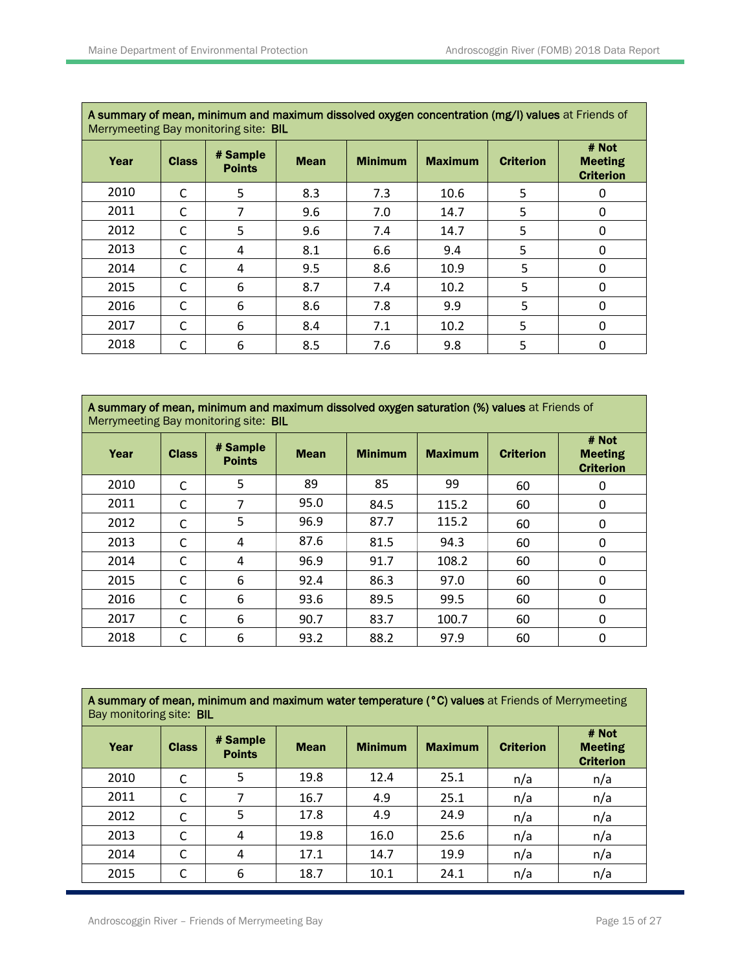|      | A summary of mean, minimum and maximum dissolved oxygen concentration (mg/T) values at Friends of<br>Merrymeeting Bay monitoring site: <b>BIL</b> |                           |             |                |                |                  |                                             |  |  |  |  |  |
|------|---------------------------------------------------------------------------------------------------------------------------------------------------|---------------------------|-------------|----------------|----------------|------------------|---------------------------------------------|--|--|--|--|--|
| Year | <b>Class</b>                                                                                                                                      | # Sample<br><b>Points</b> | <b>Mean</b> | <b>Minimum</b> | <b>Maximum</b> | <b>Criterion</b> | # Not<br><b>Meeting</b><br><b>Criterion</b> |  |  |  |  |  |
| 2010 | C                                                                                                                                                 | 5                         | 8.3         | 7.3            | 10.6           | 5                | 0                                           |  |  |  |  |  |
| 2011 | C                                                                                                                                                 | 7                         | 9.6         | 7.0            | 14.7           | 5                | 0                                           |  |  |  |  |  |
| 2012 | C                                                                                                                                                 | 5                         | 9.6         | 7.4            | 14.7           | 5                | 0                                           |  |  |  |  |  |
| 2013 | C                                                                                                                                                 | 4                         | 8.1         | 6.6            | 9.4            | 5                | 0                                           |  |  |  |  |  |
| 2014 | C                                                                                                                                                 | 4                         | 9.5         | 8.6            | 10.9           | 5                | 0                                           |  |  |  |  |  |
| 2015 | C                                                                                                                                                 | 6                         | 8.7         | 7.4            | 10.2           | 5                | $\mathbf{0}$                                |  |  |  |  |  |
| 2016 | C                                                                                                                                                 | 6                         | 8.6         | 7.8            | 9.9            | 5                | $\mathbf{0}$                                |  |  |  |  |  |
| 2017 | C                                                                                                                                                 | 6                         | 8.4         | 7.1            | 10.2           | 5                | 0                                           |  |  |  |  |  |
| 2018 | C                                                                                                                                                 | 6                         | 8.5         | 7.6            | 9.8            | 5                | 0                                           |  |  |  |  |  |

**A summary of mean, minimum and maximum dissolved oxygen saturation (%) values** at Friends of Merrymeeting Bay monitoring site: BIL

| Year | <b>Class</b> | # Sample<br><b>Points</b> | <b>Mean</b> | <b>Minimum</b> | <b>Maximum</b> | <b>Criterion</b> | # Not<br><b>Meeting</b><br><b>Criterion</b> |  |  |  |
|------|--------------|---------------------------|-------------|----------------|----------------|------------------|---------------------------------------------|--|--|--|
| 2010 | C            | 5                         | 89          | 85             | 99             | 60               | 0                                           |  |  |  |
| 2011 | C            | 7                         | 95.0        | 84.5           | 115.2          | 60               | 0                                           |  |  |  |
| 2012 | C            | 5                         | 96.9        | 87.7           | 115.2          | 60               | 0                                           |  |  |  |
| 2013 | C            | 4                         | 87.6        | 81.5           | 94.3           | 60               | 0                                           |  |  |  |
| 2014 | C            | 4                         | 96.9        | 91.7           | 108.2          | 60               | 0                                           |  |  |  |
| 2015 | C            | 6                         | 92.4        | 86.3           | 97.0           | 60               | 0                                           |  |  |  |
| 2016 | C            | 6                         | 93.6        | 89.5           | 99.5           | 60               | 0                                           |  |  |  |
| 2017 | C            | 6                         | 90.7        | 83.7           | 100.7          | 60               | 0                                           |  |  |  |
| 2018 | C            | 6                         | 93.2        | 88.2           | 97.9           | 60               | 0                                           |  |  |  |

A summary of mean, minimum and maximum water temperature (°C) values at Friends of Merrymeeting Bay monitoring site: BIL

| Year | <b>Class</b> | # Sample<br><b>Points</b> | <b>Mean</b> | <b>Minimum</b> | <b>Maximum</b> | <b>Criterion</b> | # Not<br><b>Meeting</b><br><b>Criterion</b> |  |
|------|--------------|---------------------------|-------------|----------------|----------------|------------------|---------------------------------------------|--|
| 2010 | C            | 5                         | 19.8        | 12.4           | 25.1           | n/a              | n/a                                         |  |
| 2011 | C            | 7                         | 16.7        | 4.9            | 25.1           | n/a              | n/a                                         |  |
| 2012 | C            | 5                         | 17.8        | 4.9            | 24.9           | n/a              | n/a                                         |  |
| 2013 | C            | 4                         | 19.8        | 16.0           | 25.6           | n/a              | n/a                                         |  |
| 2014 | C            | 4                         | 17.1        | 14.7           | 19.9           | n/a              | n/a                                         |  |
| 2015 | C            | 6                         | 18.7        | 10.1           | 24.1           | n/a              | n/a                                         |  |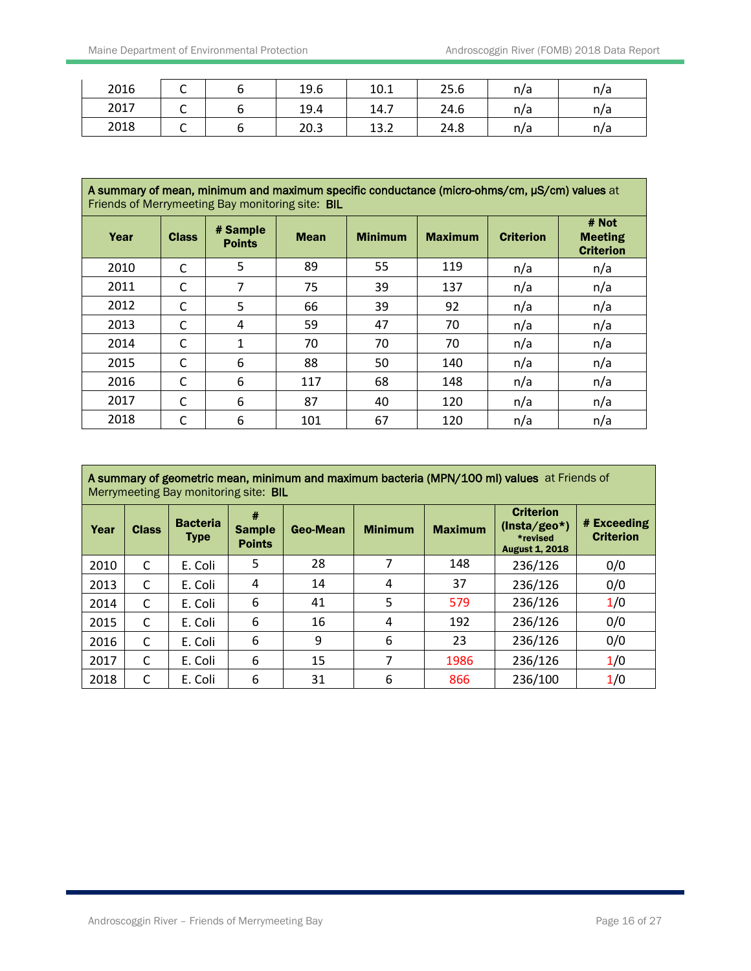| 2016 | ◡ | 19.6 | 10.1 | 25.6 | n/a | n/a |
|------|---|------|------|------|-----|-----|
| 2017 | ֊ | 19.4 | 14.7 | 24.6 | n/a | n/a |
| 2018 | ֊ | 20.3 | 13.2 | 24.8 | n/a | n/a |

| A summary of mean, minimum and maximum specific conductance (micro-ohms/cm, µS/cm) values at<br>Friends of Merrymeeting Bay monitoring site: <b>BIL</b> |              |                           |             |                |                |                  |                                             |  |  |
|---------------------------------------------------------------------------------------------------------------------------------------------------------|--------------|---------------------------|-------------|----------------|----------------|------------------|---------------------------------------------|--|--|
| Year                                                                                                                                                    | <b>Class</b> | # Sample<br><b>Points</b> | <b>Mean</b> | <b>Minimum</b> | <b>Maximum</b> | <b>Criterion</b> | # Not<br><b>Meeting</b><br><b>Criterion</b> |  |  |
| 2010                                                                                                                                                    | C            | 5                         | 89          | 55             | 119            | n/a              | n/a                                         |  |  |
| 2011                                                                                                                                                    | C            | 7                         | 75          | 39             | 137            | n/a              | n/a                                         |  |  |
| 2012                                                                                                                                                    | C            | 5                         | 66          | 39             | 92             | n/a              | n/a                                         |  |  |
| 2013                                                                                                                                                    | C            | 4                         | 59          | 47             | 70             | n/a              | n/a                                         |  |  |
| 2014                                                                                                                                                    | C            | $\mathbf{1}$              | 70          | 70             | 70             | n/a              | n/a                                         |  |  |
| 2015                                                                                                                                                    | C            | 6                         | 88          | 50             | 140            | n/a              | n/a                                         |  |  |
| 2016                                                                                                                                                    | C            | 6                         | 117         | 68             | 148            | n/a              | n/a                                         |  |  |
| 2017                                                                                                                                                    | C            | 6                         | 87          | 40             | 120            | n/a              | n/a                                         |  |  |
| 2018                                                                                                                                                    | C            | 6                         | 101         | 67             | 120            | n/a              | n/a                                         |  |  |

|      | A summary of geometric mean, minimum and maximum bacteria (MPN/100 ml) values at Friends of<br>Merrymeeting Bay monitoring site: <b>BIL</b> |                                |                                     |          |                |                |                                                                         |                                 |  |  |  |
|------|---------------------------------------------------------------------------------------------------------------------------------------------|--------------------------------|-------------------------------------|----------|----------------|----------------|-------------------------------------------------------------------------|---------------------------------|--|--|--|
| Year | <b>Class</b>                                                                                                                                | <b>Bacteria</b><br><b>Type</b> | #<br><b>Sample</b><br><b>Points</b> | Geo-Mean | <b>Minimum</b> | <b>Maximum</b> | <b>Criterion</b><br>$(Insta/geo*)$<br>*revised<br><b>August 1, 2018</b> | # Exceeding<br><b>Criterion</b> |  |  |  |
| 2010 | C                                                                                                                                           | E. Coli                        | 5                                   | 28       | 7              | 148            | 236/126                                                                 | 0/0                             |  |  |  |
| 2013 | C                                                                                                                                           | E. Coli                        | 4                                   | 14       | 4              | 37             | 236/126                                                                 | 0/0                             |  |  |  |
| 2014 | C                                                                                                                                           | E. Coli                        | 6                                   | 41       | 5              | 579            | 236/126                                                                 | 1/0                             |  |  |  |
| 2015 | C                                                                                                                                           | E. Coli                        | 6                                   | 16       | 4              | 192            | 236/126                                                                 | 0/0                             |  |  |  |
| 2016 | C                                                                                                                                           | E. Coli                        | 6                                   | 9        | 6              | 23             | 236/126                                                                 | 0/0                             |  |  |  |
| 2017 | C                                                                                                                                           | E. Coli                        | 6                                   | 15       | 7              | 1986           | 236/126                                                                 | 1/0                             |  |  |  |
| 2018 | C                                                                                                                                           | E. Coli                        | 6                                   | 31       | 6              | 866            | 236/100                                                                 | 1/0                             |  |  |  |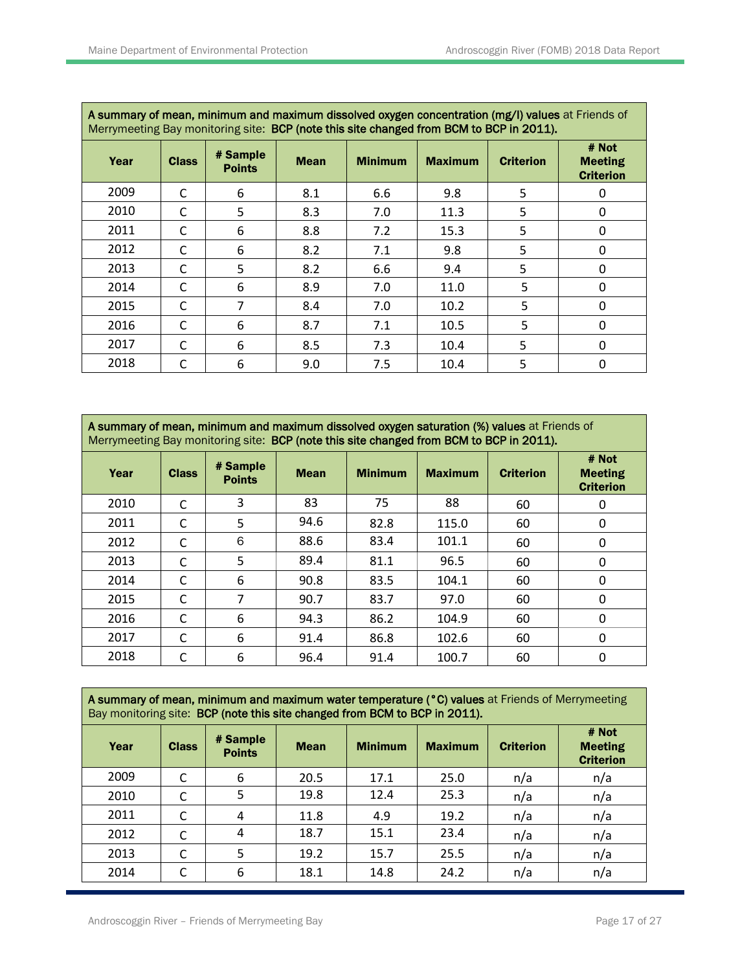| A summary of mean, minimum and maximum dissolved oxygen concentration (mg/l) values at Friends of<br>Merrymeeting Bay monitoring site: BCP (note this site changed from BCM to BCP in 2011). |              |                           |             |                |                |                  |                                             |  |  |  |
|----------------------------------------------------------------------------------------------------------------------------------------------------------------------------------------------|--------------|---------------------------|-------------|----------------|----------------|------------------|---------------------------------------------|--|--|--|
| Year                                                                                                                                                                                         | <b>Class</b> | # Sample<br><b>Points</b> | <b>Mean</b> | <b>Minimum</b> | <b>Maximum</b> | <b>Criterion</b> | # Not<br><b>Meeting</b><br><b>Criterion</b> |  |  |  |
| 2009                                                                                                                                                                                         | C            | 6                         | 8.1         | 6.6            | 9.8            | 5                |                                             |  |  |  |
| 2010                                                                                                                                                                                         | C            | 5                         | 8.3         | 7.0            | 11.3           | 5                | $\Omega$                                    |  |  |  |
| 2011                                                                                                                                                                                         | C            | 6                         | 8.8         | 7.2            | 15.3           | 5                | $\Omega$                                    |  |  |  |
| 2012                                                                                                                                                                                         | C            | 6                         | 8.2         | 7.1            | 9.8            | 5                | 0                                           |  |  |  |
| 2013                                                                                                                                                                                         | C            | 5                         | 8.2         | 6.6            | 9.4            | 5                | $\Omega$                                    |  |  |  |
| 2014                                                                                                                                                                                         | C            | 6                         | 8.9         | 7.0            | 11.0           | 5                | 0                                           |  |  |  |
| 2015                                                                                                                                                                                         | C            | 7                         | 8.4         | 7.0            | 10.2           | 5                | 0                                           |  |  |  |
| 2016                                                                                                                                                                                         | C            | 6                         | 8.7         | 7.1            | 10.5           | 5                | $\Omega$                                    |  |  |  |
| 2017                                                                                                                                                                                         | $\mathsf{C}$ | 6                         | 8.5         | 7.3            | 10.4           | 5                | $\Omega$                                    |  |  |  |
| 2018                                                                                                                                                                                         | C            | 6                         | 9.0         | 7.5            | 10.4           | 5                | 0                                           |  |  |  |

A summary of mean, minimum and maximum dissolved oxygen saturation (%) values at Friends of Merrymeeting Bay monitoring site: BCP (note this site changed from BCM to BCP in 2011).

| Year | <b>Class</b> | # Sample<br><b>Points</b> | <b>Mean</b> | <b>Minimum</b> | <b>Maximum</b> | <b>Criterion</b> | # Not<br><b>Meeting</b><br><b>Criterion</b> |
|------|--------------|---------------------------|-------------|----------------|----------------|------------------|---------------------------------------------|
| 2010 | C            | 3                         | 83          | 75             | 88             | 60               | 0                                           |
| 2011 | C            | 5                         | 94.6        | 82.8           | 115.0          | 60               | 0                                           |
| 2012 | C            | 6                         | 88.6        | 83.4           | 101.1          | 60               | 0                                           |
| 2013 | C            | 5                         | 89.4        | 81.1           | 96.5           | 60               | 0                                           |
| 2014 | $\mathsf{C}$ | 6                         | 90.8        | 83.5           | 104.1          | 60               | $\mathbf{0}$                                |
| 2015 | C            | 7                         | 90.7        | 83.7           | 97.0           | 60               | 0                                           |
| 2016 | $\mathsf{C}$ | 6                         | 94.3        | 86.2           | 104.9          | 60               | $\mathbf 0$                                 |
| 2017 | C            | 6                         | 91.4        | 86.8           | 102.6          | 60               | $\mathbf{0}$                                |
| 2018 | C            | 6                         | 96.4        | 91.4           | 100.7          | 60               | 0                                           |

| A summary of mean, minimum and maximum water temperature (°C) values at Friends of Merrymeeting |
|-------------------------------------------------------------------------------------------------|
| Bay monitoring site: BCP (note this site changed from BCM to BCP in 2011).                      |

| Year | <b>Class</b> | # Sample<br><b>Points</b> | <b>Mean</b> | <b>Minimum</b> | <b>Maximum</b> | <b>Criterion</b> | # Not<br><b>Meeting</b><br><b>Criterion</b> |  |  |  |
|------|--------------|---------------------------|-------------|----------------|----------------|------------------|---------------------------------------------|--|--|--|
| 2009 | C            | 6                         | 20.5        | 17.1           | 25.0           | n/a              | n/a                                         |  |  |  |
| 2010 | C            | 5                         | 19.8        | 12.4           | 25.3           | n/a              | n/a                                         |  |  |  |
| 2011 | C            | 4                         | 11.8        | 4.9            | 19.2           | n/a              | n/a                                         |  |  |  |
| 2012 | C            | 4                         | 18.7        | 15.1           | 23.4           | n/a              | n/a                                         |  |  |  |
| 2013 | C            | 5                         | 19.2        | 15.7           | 25.5           | n/a              | n/a                                         |  |  |  |
| 2014 | C            | 6                         | 18.1        | 14.8           | 24.2           | n/a              | n/a                                         |  |  |  |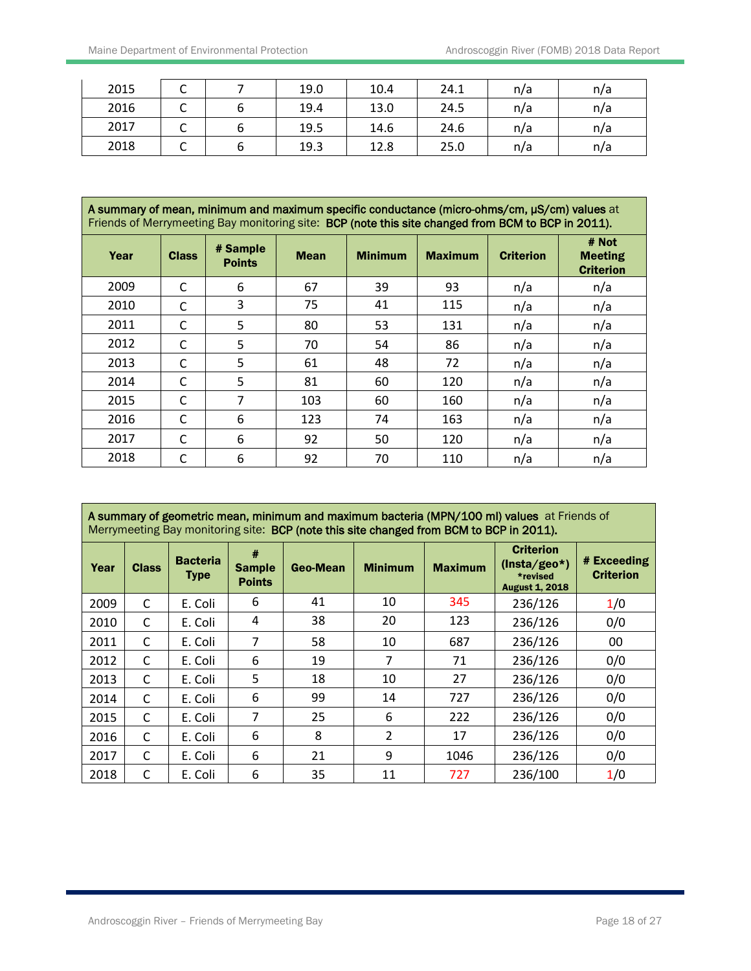Ī

| 2015 | ֊ | 19.0 | 10.4 | 24.1 | n/a | n/a |
|------|---|------|------|------|-----|-----|
| 2016 | ֊ | 19.4 | 13.0 | 24.5 | n/a | n/a |
| 2017 | ֊ | 19.5 | 14.6 | 24.6 | n/a | n/a |
| 2018 | ֊ | 19.3 | 12.8 | 25.0 | n/a | n/a |

| A summary of mean, minimum and maximum specific conductance (micro-ohms/cm, µS/cm) values at<br>Friends of Merrymeeting Bay monitoring site: BCP (note this site changed from BCM to BCP in 2011). |              |                           |             |                |                |                  |                                             |  |  |  |
|----------------------------------------------------------------------------------------------------------------------------------------------------------------------------------------------------|--------------|---------------------------|-------------|----------------|----------------|------------------|---------------------------------------------|--|--|--|
| Year                                                                                                                                                                                               | <b>Class</b> | # Sample<br><b>Points</b> | <b>Mean</b> | <b>Minimum</b> | <b>Maximum</b> | <b>Criterion</b> | # Not<br><b>Meeting</b><br><b>Criterion</b> |  |  |  |
| 2009                                                                                                                                                                                               | C            | 6                         | 67          | 39             | 93             | n/a              | n/a                                         |  |  |  |
| 2010                                                                                                                                                                                               | C            | 3                         | 75          | 41             | 115            | n/a              | n/a                                         |  |  |  |
| 2011                                                                                                                                                                                               | C            | 5                         | 80          | 53             | 131            | n/a              | n/a                                         |  |  |  |
| 2012                                                                                                                                                                                               | C            | 5                         | 70          | 54             | 86             | n/a              | n/a                                         |  |  |  |
| 2013                                                                                                                                                                                               | C            | 5                         | 61          | 48             | 72             | n/a              | n/a                                         |  |  |  |
| 2014                                                                                                                                                                                               | C            | 5                         | 81          | 60             | 120            | n/a              | n/a                                         |  |  |  |
| 2015                                                                                                                                                                                               | C            | 7                         | 103         | 60             | 160            | n/a              | n/a                                         |  |  |  |
| 2016                                                                                                                                                                                               | C            | 6                         | 123         | 74             | 163            | n/a              | n/a                                         |  |  |  |
| 2017                                                                                                                                                                                               | $\mathsf{C}$ | 6                         | 92          | 50             | 120            | n/a              | n/a                                         |  |  |  |
| 2018                                                                                                                                                                                               | C            | 6                         | 92          | 70             | 110            | n/a              | n/a                                         |  |  |  |

|      | A summary of geometric mean, minimum and maximum bacteria (MPN/100 ml) values at Friends of<br>Merrymeeting Bay monitoring site: BCP (note this site changed from BCM to BCP in 2011). |                         |                                     |          |                |                |                                                                         |                                 |  |  |  |
|------|----------------------------------------------------------------------------------------------------------------------------------------------------------------------------------------|-------------------------|-------------------------------------|----------|----------------|----------------|-------------------------------------------------------------------------|---------------------------------|--|--|--|
| Year | <b>Class</b>                                                                                                                                                                           | <b>Bacteria</b><br>Type | #<br><b>Sample</b><br><b>Points</b> | Geo-Mean | <b>Minimum</b> | <b>Maximum</b> | <b>Criterion</b><br>$(Insta/geo*)$<br>*revised<br><b>August 1, 2018</b> | # Exceeding<br><b>Criterion</b> |  |  |  |
| 2009 | C                                                                                                                                                                                      | E. Coli                 | 6                                   | 41       | 10             | 345            | 236/126                                                                 | 1/0                             |  |  |  |
| 2010 | C                                                                                                                                                                                      | E. Coli                 | 4                                   | 38       | 20             | 123            | 236/126                                                                 | 0/0                             |  |  |  |
| 2011 | C                                                                                                                                                                                      | E. Coli                 | $\overline{7}$                      | 58       | 10             | 687            | 236/126                                                                 | 00                              |  |  |  |
| 2012 | C                                                                                                                                                                                      | E. Coli                 | 6                                   | 19       | 7              | 71             | 236/126                                                                 | 0/0                             |  |  |  |
| 2013 | C                                                                                                                                                                                      | E. Coli                 | 5                                   | 18       | 10             | 27             | 236/126                                                                 | 0/0                             |  |  |  |
| 2014 | C                                                                                                                                                                                      | E. Coli                 | 6                                   | 99       | 14             | 727            | 236/126                                                                 | 0/0                             |  |  |  |
| 2015 | C                                                                                                                                                                                      | E. Coli                 | 7                                   | 25       | 6              | 222            | 236/126                                                                 | 0/0                             |  |  |  |
| 2016 | C                                                                                                                                                                                      | E. Coli                 | 6                                   | 8        | $\overline{2}$ | 17             | 236/126                                                                 | 0/0                             |  |  |  |
| 2017 | C                                                                                                                                                                                      | E. Coli                 | 6                                   | 21       | 9              | 1046           | 236/126                                                                 | 0/0                             |  |  |  |
| 2018 | C                                                                                                                                                                                      | E. Coli                 | 6                                   | 35       | 11             | 727            | 236/100                                                                 | 1/0                             |  |  |  |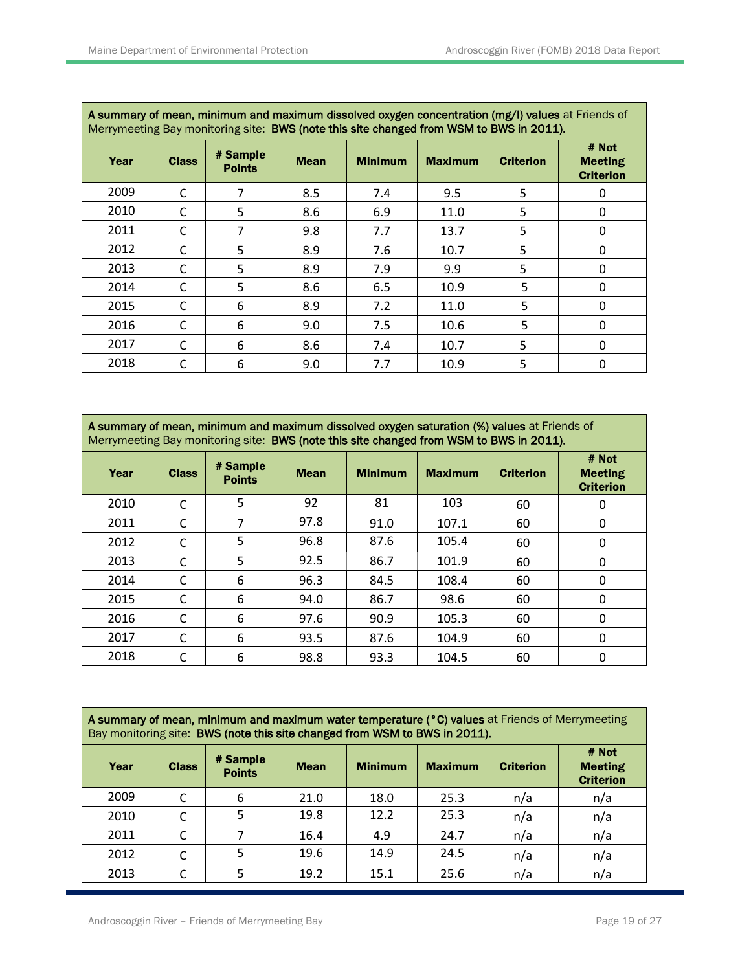٦

| A summary of mean, minimum and maximum dissolved oxygen concentration (mg/l) values at Friends of<br>Merrymeeting Bay monitoring site: BWS (note this site changed from WSM to BWS in 2011). |              |                           |             |                |                |                  |                                             |  |  |  |
|----------------------------------------------------------------------------------------------------------------------------------------------------------------------------------------------|--------------|---------------------------|-------------|----------------|----------------|------------------|---------------------------------------------|--|--|--|
| Year                                                                                                                                                                                         | <b>Class</b> | # Sample<br><b>Points</b> | <b>Mean</b> | <b>Minimum</b> | <b>Maximum</b> | <b>Criterion</b> | # Not<br><b>Meeting</b><br><b>Criterion</b> |  |  |  |
| 2009                                                                                                                                                                                         | C            | 7                         | 8.5         | 7.4            | 9.5            | 5                |                                             |  |  |  |
| 2010                                                                                                                                                                                         | C            | 5                         | 8.6         | 6.9            | 11.0           | 5                | $\Omega$                                    |  |  |  |
| 2011                                                                                                                                                                                         | C            |                           | 9.8         | 7.7            | 13.7           | 5                | $\Omega$                                    |  |  |  |
| 2012                                                                                                                                                                                         | C            | 5                         | 8.9         | 7.6            | 10.7           | 5                | 0                                           |  |  |  |
| 2013                                                                                                                                                                                         | C            | 5                         | 8.9         | 7.9            | 9.9            | 5                | $\Omega$                                    |  |  |  |
| 2014                                                                                                                                                                                         | C            | 5                         | 8.6         | 6.5            | 10.9           | 5                | 0                                           |  |  |  |
| 2015                                                                                                                                                                                         | C            | 6                         | 8.9         | 7.2            | 11.0           | 5                | 0                                           |  |  |  |
| 2016                                                                                                                                                                                         | C            | 6                         | 9.0         | 7.5            | 10.6           | 5                | $\Omega$                                    |  |  |  |
| 2017                                                                                                                                                                                         | $\mathsf{C}$ | 6                         | 8.6         | 7.4            | 10.7           | 5                | $\Omega$                                    |  |  |  |
| 2018                                                                                                                                                                                         | C            | 6                         | 9.0         | 7.7            | 10.9           | 5                | 0                                           |  |  |  |

| A summary of mean, minimum and maximum dissolved oxygen saturation (%) values at Friends of |
|---------------------------------------------------------------------------------------------|
| Merrymeeting Bay monitoring site: BWS (note this site changed from WSM to BWS in 2011).     |

| Year | <b>Class</b> | # Sample<br><b>Points</b> | <b>Mean</b> | <b>Minimum</b> | <b>Maximum</b> | <b>Criterion</b> | # Not<br><b>Meeting</b><br><b>Criterion</b> |
|------|--------------|---------------------------|-------------|----------------|----------------|------------------|---------------------------------------------|
| 2010 | C            | 5                         | 92          | 81             | 103            | 60               | 0                                           |
| 2011 | C            |                           | 97.8        | 91.0           | 107.1          | 60               | 0                                           |
| 2012 | C            | 5                         | 96.8        | 87.6           | 105.4          | 60               | 0                                           |
| 2013 | C            | 5                         | 92.5        | 86.7           | 101.9          | 60               | $\mathbf{0}$                                |
| 2014 | C            | 6                         | 96.3        | 84.5           | 108.4          | 60               | $\mathbf 0$                                 |
| 2015 | C            | 6                         | 94.0        | 86.7           | 98.6           | 60               | $\Omega$                                    |
| 2016 | C            | 6                         | 97.6        | 90.9           | 105.3          | 60               | 0                                           |
| 2017 | C            | 6                         | 93.5        | 87.6           | 104.9          | 60               | 0                                           |
| 2018 | C            | 6                         | 98.8        | 93.3           | 104.5          | 60               | 0                                           |

| A summary of mean, minimum and maximum water temperature (°C) values at Friends of Merrymeeting<br>Bay monitoring site: BWS (note this site changed from WSM to BWS in 2011). |              |                           |             |                |                |                  |                                             |  |  |  |
|-------------------------------------------------------------------------------------------------------------------------------------------------------------------------------|--------------|---------------------------|-------------|----------------|----------------|------------------|---------------------------------------------|--|--|--|
| Year                                                                                                                                                                          | <b>Class</b> | # Sample<br><b>Points</b> | <b>Mean</b> | <b>Minimum</b> | <b>Maximum</b> | <b>Criterion</b> | # Not<br><b>Meeting</b><br><b>Criterion</b> |  |  |  |
| 2009                                                                                                                                                                          |              | 6                         | 21.0        | 18.0           | 25.3           | n/a              | n/a                                         |  |  |  |
| 2010                                                                                                                                                                          |              | 5                         | 19.8        | 12.2           | 25.3           | n/a              | n/a                                         |  |  |  |
| 2011                                                                                                                                                                          |              |                           | 16.4        | 4.9            | 24.7           | n/a              | n/a                                         |  |  |  |
| 2012                                                                                                                                                                          |              |                           | 19.6        | 14.9           | 24.5           | n/a              | n/a                                         |  |  |  |
| 2013                                                                                                                                                                          |              |                           | 19.2        | 15.1           | 25.6           | n/a              | n/a                                         |  |  |  |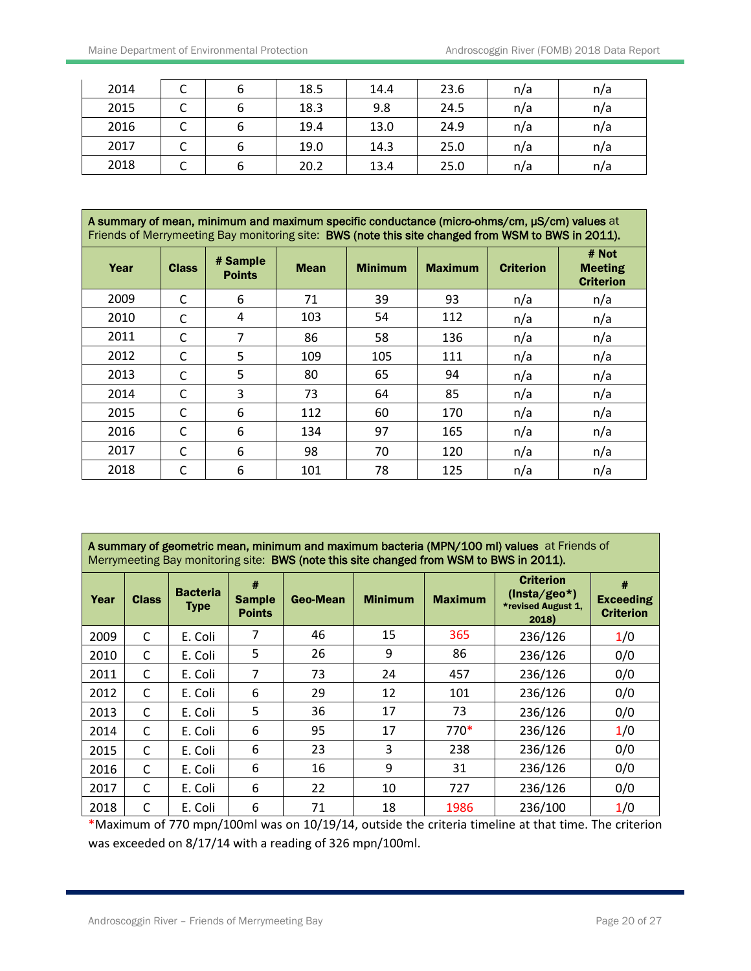| 2014 |  | 18.5 | 14.4 | 23.6 | n/a | n/a |
|------|--|------|------|------|-----|-----|
| 2015 |  | 18.3 | 9.8  | 24.5 | n/a | n/a |
| 2016 |  | 19.4 | 13.0 | 24.9 | n/a | n/a |
| 2017 |  | 19.0 | 14.3 | 25.0 | n/a | n/a |
| 2018 |  | 20.2 | 13.4 | 25.0 | n/a | n/a |

| A summary of mean, minimum and maximum specific conductance (micro-ohms/cm, µS/cm) values at<br>Friends of Merrymeeting Bay monitoring site: BWS (note this site changed from WSM to BWS in 2011). |  |              |  |  |  |  |       |
|----------------------------------------------------------------------------------------------------------------------------------------------------------------------------------------------------|--|--------------|--|--|--|--|-------|
|                                                                                                                                                                                                    |  | $\mu$ Comple |  |  |  |  | # Not |

| Year | <b>Class</b> | # Sample<br><b>Points</b> | <b>Mean</b> | <b>Minimum</b> | <b>Maximum</b> | <b>Criterion</b> | " """<br><b>Meeting</b><br><b>Criterion</b> |
|------|--------------|---------------------------|-------------|----------------|----------------|------------------|---------------------------------------------|
| 2009 | C            | 6                         | 71          | 39             | 93             | n/a              | n/a                                         |
| 2010 | $\mathsf{C}$ | 4                         | 103         | 54             | 112            | n/a              | n/a                                         |
| 2011 | C            | 7                         | 86          | 58             | 136            | n/a              | n/a                                         |
| 2012 | C            | 5                         | 109         | 105            | 111            | n/a              | n/a                                         |
| 2013 | C            | 5                         | 80          | 65             | 94             | n/a              | n/a                                         |
| 2014 | $\mathsf{C}$ | 3                         | 73          | 64             | 85             | n/a              | n/a                                         |
| 2015 | C            | 6                         | 112         | 60             | 170            | n/a              | n/a                                         |
| 2016 | С            | 6                         | 134         | 97             | 165            | n/a              | n/a                                         |
| 2017 | C            | 6                         | 98          | 70             | 120            | n/a              | n/a                                         |
| 2018 | C            | 6                         | 101         | 78             | 125            | n/a              | n/a                                         |

| A summary of geometric mean, minimum and maximum bacteria (MPN/100 ml) values at Friends of |  |
|---------------------------------------------------------------------------------------------|--|
| Merrymeeting Bay monitoring site: BWS (note this site changed from WSM to BWS in 2011).     |  |

| Year | <b>Class</b> | <b>Bacteria</b><br><b>Type</b> | #<br><b>Sample</b><br><b>Points</b> | Geo-Mean | <b>Minimum</b> | <b>Maximum</b> | <b>Criterion</b><br>$(Insta/geo*)$<br>*revised August 1,<br>2018) | #<br><b>Exceeding</b><br><b>Criterion</b> |
|------|--------------|--------------------------------|-------------------------------------|----------|----------------|----------------|-------------------------------------------------------------------|-------------------------------------------|
| 2009 | C            | E. Coli                        | 7                                   | 46       | 15             | 365            | 236/126                                                           | 1/0                                       |
| 2010 | C            | E. Coli                        | 5                                   | 26       | 9              | 86             | 236/126                                                           | 0/0                                       |
| 2011 | C            | E. Coli                        | 7                                   | 73       | 24             | 457            | 236/126                                                           | 0/0                                       |
| 2012 | C            | E. Coli                        | 6                                   | 29       | 12             | 101            | 236/126                                                           | 0/0                                       |
| 2013 | C            | E. Coli                        | 5                                   | 36       | 17             | 73             | 236/126                                                           | 0/0                                       |
| 2014 | C            | E. Coli                        | 6                                   | 95       | 17             | $770*$         | 236/126                                                           | 1/0                                       |
| 2015 | C            | E. Coli                        | 6                                   | 23       | 3              | 238            | 236/126                                                           | 0/0                                       |
| 2016 | C            | E. Coli                        | 6                                   | 16       | 9              | 31             | 236/126                                                           | 0/0                                       |
| 2017 | C            | E. Coli                        | 6                                   | 22       | 10             | 727            | 236/126                                                           | 0/0                                       |
| 2018 | C            | E. Coli                        | 6                                   | 71       | 18             | 1986           | 236/100                                                           | 1/0                                       |

\*Maximum of 770 mpn/100ml was on 10/19/14, outside the criteria timeline at that time. The criterion was exceeded on 8/17/14 with a reading of 326 mpn/100ml.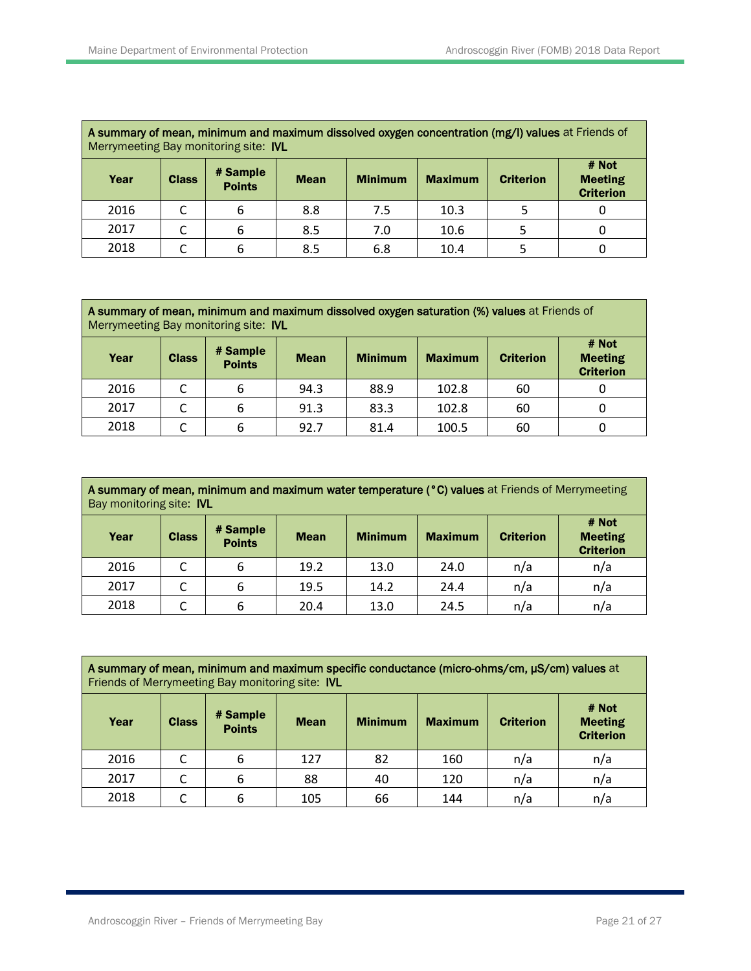| A summary of mean, minimum and maximum dissolved oxygen concentration (mg/l) values at Friends of<br>Merrymeeting Bay monitoring site: IVL |  |   |     |     |      |                                             |  |  |  |  |
|--------------------------------------------------------------------------------------------------------------------------------------------|--|---|-----|-----|------|---------------------------------------------|--|--|--|--|
| # Sample<br><b>Minimum</b><br><b>Maximum</b><br>Year<br><b>Class</b><br><b>Criterion</b><br><b>Mean</b><br><b>Points</b>                   |  |   |     |     |      | # Not<br><b>Meeting</b><br><b>Criterion</b> |  |  |  |  |
| 2016                                                                                                                                       |  | 6 | 8.8 | 7.5 | 10.3 |                                             |  |  |  |  |
| 2017                                                                                                                                       |  | 6 | 8.5 | 7.0 | 10.6 |                                             |  |  |  |  |
| 2018                                                                                                                                       |  | 6 | 8.5 | 6.8 | 10.4 |                                             |  |  |  |  |

| A summary of mean, minimum and maximum dissolved oxygen saturation (%) values at Friends of<br>Merrymeeting Bay monitoring site: IVL |              |                           |             |                |                |                  |                                             |  |  |
|--------------------------------------------------------------------------------------------------------------------------------------|--------------|---------------------------|-------------|----------------|----------------|------------------|---------------------------------------------|--|--|
| Year                                                                                                                                 | <b>Class</b> | # Sample<br><b>Points</b> | <b>Mean</b> | <b>Minimum</b> | <b>Maximum</b> | <b>Criterion</b> | # Not<br><b>Meeting</b><br><b>Criterion</b> |  |  |
| 2016                                                                                                                                 |              | 6                         | 94.3        | 88.9           | 102.8          | 60               |                                             |  |  |
| 2017                                                                                                                                 |              | 6                         | 91.3        | 83.3           | 102.8          | 60               |                                             |  |  |
| 2018                                                                                                                                 |              | 6                         | 92.7        | 81.4           | 100.5          | 60               |                                             |  |  |

| A summary of mean, minimum and maximum water temperature (°C) values at Friends of Merrymeeting<br>Bay monitoring site: IVL |              |                           |             |                |                |                  |                                             |  |  |
|-----------------------------------------------------------------------------------------------------------------------------|--------------|---------------------------|-------------|----------------|----------------|------------------|---------------------------------------------|--|--|
| Year                                                                                                                        | <b>Class</b> | # Sample<br><b>Points</b> | <b>Mean</b> | <b>Minimum</b> | <b>Maximum</b> | <b>Criterion</b> | # Not<br><b>Meeting</b><br><b>Criterion</b> |  |  |
| 2016                                                                                                                        | C            | 6                         | 19.2        | 13.0           | 24.0           | n/a              | n/a                                         |  |  |
| 2017                                                                                                                        |              | 6                         | 19.5        | 14.2           | 24.4           | n/a              | n/a                                         |  |  |
| 2018                                                                                                                        |              | 6                         | 20.4        | 13.0           | 24.5           | n/a              | n/a                                         |  |  |

| A summary of mean, minimum and maximum specific conductance (micro-ohms/cm, µS/cm) values at |
|----------------------------------------------------------------------------------------------|
| Friends of Merrymeeting Bay monitoring site: IVL                                             |

| Year | <b>Class</b> | # Sample<br><b>Points</b> | <b>Mean</b> | <b>Minimum</b> | <b>Maximum</b> | <b>Criterion</b> | # Not<br><b>Meeting</b><br><b>Criterion</b> |
|------|--------------|---------------------------|-------------|----------------|----------------|------------------|---------------------------------------------|
| 2016 |              | 6                         | 127         | 82             | 160            | n/a              | n/a                                         |
| 2017 | r<br>֊       | 6                         | 88          | 40             | 120            | n/a              | n/a                                         |
| 2018 |              | 6                         | 105         | 66             | 144            | n/a              | n/a                                         |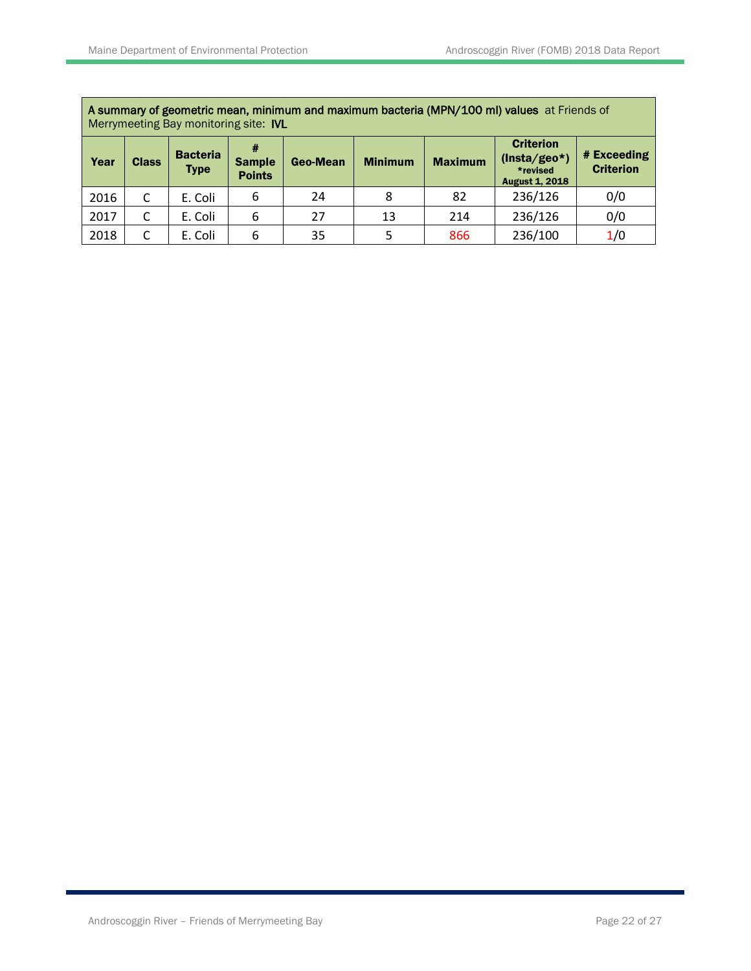$\mathbf{r}$ 

|      | A summary of geometric mean, minimum and maximum bacteria (MPN/100 ml) values at Friends of<br>Merrymeeting Bay monitoring site: IVL |                                |                                     |          |                |                |                                                                         |                                 |  |  |  |
|------|--------------------------------------------------------------------------------------------------------------------------------------|--------------------------------|-------------------------------------|----------|----------------|----------------|-------------------------------------------------------------------------|---------------------------------|--|--|--|
| Year | <b>Class</b>                                                                                                                         | <b>Bacteria</b><br><b>Type</b> | #<br><b>Sample</b><br><b>Points</b> | Geo-Mean | <b>Minimum</b> | <b>Maximum</b> | <b>Criterion</b><br>$(Insta/geo*)$<br>*revised<br><b>August 1, 2018</b> | # Exceeding<br><b>Criterion</b> |  |  |  |
| 2016 | C                                                                                                                                    | E. Coli                        | 6                                   | 24       | 8              | 82             | 236/126                                                                 | 0/0                             |  |  |  |
| 2017 | C                                                                                                                                    | E. Coli                        | 6                                   | 27       | 13             | 214            | 236/126                                                                 | 0/0                             |  |  |  |
| 2018 | C                                                                                                                                    | E. Coli                        | 6                                   | 35       |                | 866            | 236/100                                                                 | 1/0                             |  |  |  |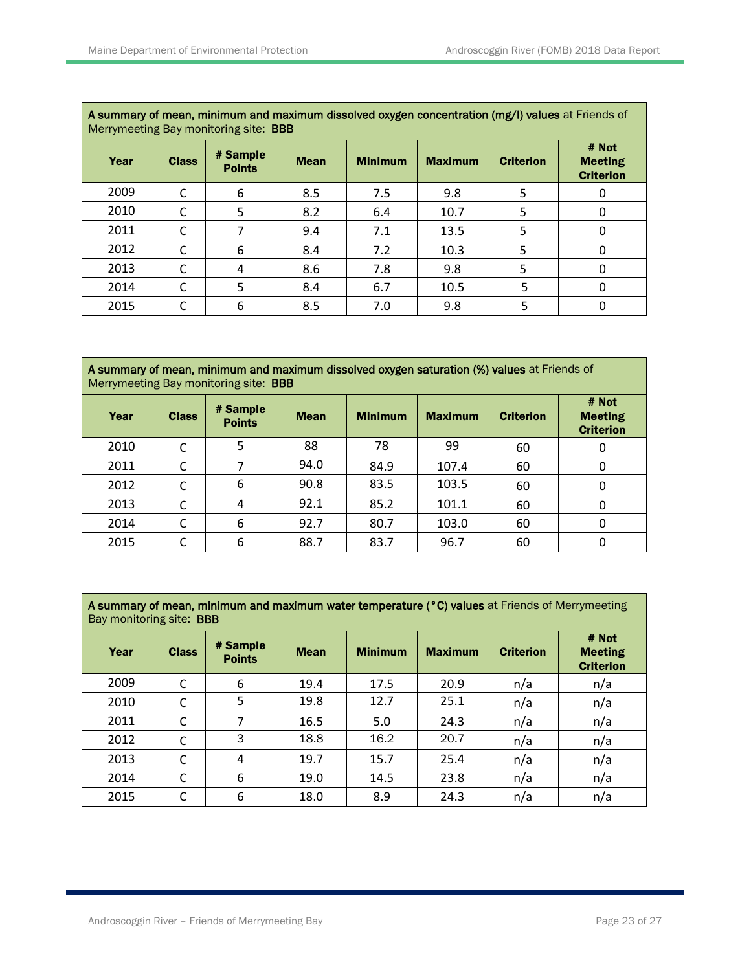| A summary of mean, minimum and maximum dissolved oxygen concentration (mg/l) values at Friends of<br>Merrymeeting Bay monitoring site: <b>BBB</b> |              |                           |             |                |                |                  |                                             |  |  |  |
|---------------------------------------------------------------------------------------------------------------------------------------------------|--------------|---------------------------|-------------|----------------|----------------|------------------|---------------------------------------------|--|--|--|
| Year                                                                                                                                              | <b>Class</b> | # Sample<br><b>Points</b> | <b>Mean</b> | <b>Minimum</b> | <b>Maximum</b> | <b>Criterion</b> | # Not<br><b>Meeting</b><br><b>Criterion</b> |  |  |  |
| 2009                                                                                                                                              | C            | 6                         | 8.5         | 7.5            | 9.8            | 5                |                                             |  |  |  |
| 2010                                                                                                                                              | C            | 5                         | 8.2         | 6.4            | 10.7           | 5                |                                             |  |  |  |
| 2011                                                                                                                                              | C            |                           | 9.4         | 7.1            | 13.5           | 5                |                                             |  |  |  |
| 2012                                                                                                                                              | C            | 6                         | 8.4         | 7.2            | 10.3           | 5                | O                                           |  |  |  |
| 2013                                                                                                                                              | C            | 4                         | 8.6         | 7.8            | 9.8            | 5                | 0                                           |  |  |  |
| 2014                                                                                                                                              | C            | 5                         | 8.4         | 6.7            | 10.5           | 5                | 0                                           |  |  |  |
| 2015                                                                                                                                              | C            | 6                         | 8.5         | 7.0            | 9.8            | 5                |                                             |  |  |  |

| A summary of mean, minimum and maximum dissolved oxygen saturation (%) values at Friends of |
|---------------------------------------------------------------------------------------------|
| Merrymeeting Bay monitoring site: <b>BBB</b>                                                |

| Year | <b>Class</b> | # Sample<br><b>Points</b> | <b>Mean</b> | <b>Minimum</b> | <b>Maximum</b> | <b>Criterion</b> | # Not<br><b>Meeting</b><br><b>Criterion</b> |
|------|--------------|---------------------------|-------------|----------------|----------------|------------------|---------------------------------------------|
| 2010 |              | 5                         | 88          | 78             | 99             | 60               | 0                                           |
| 2011 |              |                           | 94.0        | 84.9           | 107.4          | 60               | 0                                           |
| 2012 | C            | 6                         | 90.8        | 83.5           | 103.5          | 60               | 0                                           |
| 2013 |              | 4                         | 92.1        | 85.2           | 101.1          | 60               | 0                                           |
| 2014 | C            | 6                         | 92.7        | 80.7           | 103.0          | 60               | 0                                           |
| 2015 | C            | 6                         | 88.7        | 83.7           | 96.7           | 60               | 0                                           |

**A summary of mean, minimum and maximum water temperature (°C) values** at Friends of Merrymeeting Bay monitoring site: **BBB** 

| Year | <b>Class</b> | # Sample<br><b>Points</b> | <b>Mean</b> | <b>Minimum</b> | <b>Maximum</b> | <b>Criterion</b> | # Not<br><b>Meeting</b><br><b>Criterion</b> |
|------|--------------|---------------------------|-------------|----------------|----------------|------------------|---------------------------------------------|
| 2009 | C            | 6                         | 19.4        | 17.5           | 20.9           | n/a              | n/a                                         |
| 2010 | C            | 5                         | 19.8        | 12.7           | 25.1           | n/a              | n/a                                         |
| 2011 | C            | 7                         | 16.5        | 5.0            | 24.3           | n/a              | n/a                                         |
| 2012 | C            | 3                         | 18.8        | 16.2           | 20.7           | n/a              | n/a                                         |
| 2013 | C            | 4                         | 19.7        | 15.7           | 25.4           | n/a              | n/a                                         |
| 2014 | C            | 6                         | 19.0        | 14.5           | 23.8           | n/a              | n/a                                         |
| 2015 | C            | 6                         | 18.0        | 8.9            | 24.3           | n/a              | n/a                                         |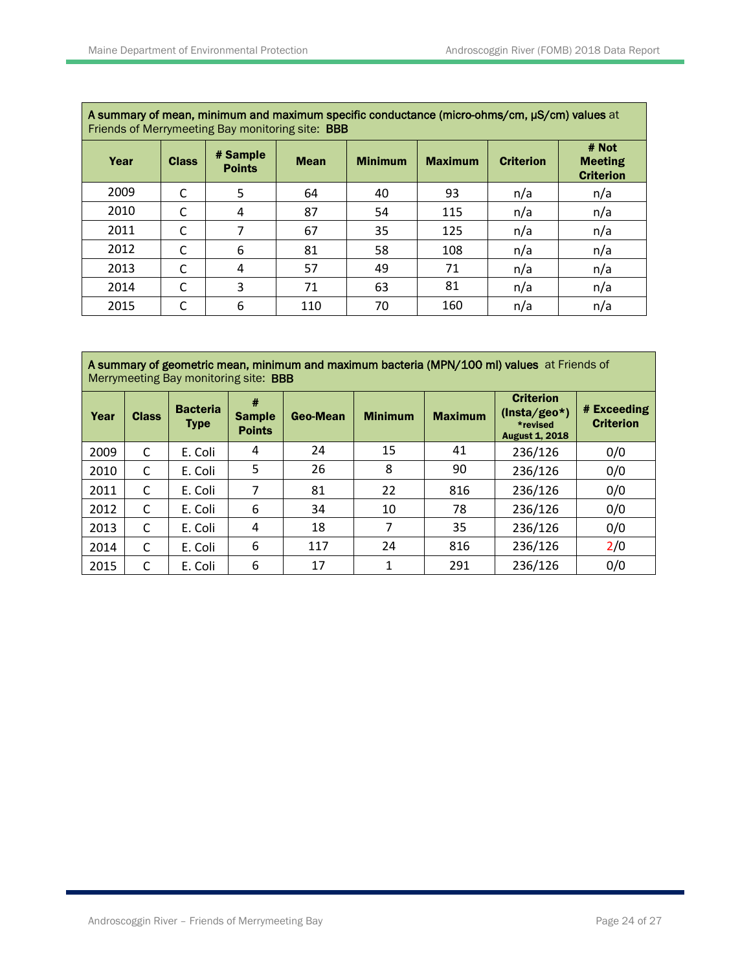| A summary of mean, minimum and maximum specific conductance (micro-ohms/cm, µS/cm) values at<br>Friends of Merrymeeting Bay monitoring site: <b>BBB</b> |              |                           |             |                |                |                  |                                             |  |  |  |
|---------------------------------------------------------------------------------------------------------------------------------------------------------|--------------|---------------------------|-------------|----------------|----------------|------------------|---------------------------------------------|--|--|--|
| Year                                                                                                                                                    | <b>Class</b> | # Sample<br><b>Points</b> | <b>Mean</b> | <b>Minimum</b> | <b>Maximum</b> | <b>Criterion</b> | # Not<br><b>Meeting</b><br><b>Criterion</b> |  |  |  |
| 2009                                                                                                                                                    | C            | 5                         | 64          | 40             | 93             | n/a              | n/a                                         |  |  |  |
| 2010                                                                                                                                                    | C            | 4                         | 87          | 54             | 115            | n/a              | n/a                                         |  |  |  |
| 2011                                                                                                                                                    | C            |                           | 67          | 35             | 125            | n/a              | n/a                                         |  |  |  |
| 2012                                                                                                                                                    | C            | 6                         | 81          | 58             | 108            | n/a              | n/a                                         |  |  |  |
| 2013                                                                                                                                                    | C            | 4                         | 57          | 49             | 71             | n/a              | n/a                                         |  |  |  |
| 2014                                                                                                                                                    | C            | 3                         | 71          | 63             | 81             | n/a              | n/a                                         |  |  |  |
| 2015                                                                                                                                                    | C            | 6                         | 110         | 70             | 160            | n/a              | n/a                                         |  |  |  |

A summary of mean, minimum and maximum specific conductance (micro-ohms/cm, µS/cm) values at

A summary of geometric mean, minimum and maximum bacteria (MPN/100 ml) values at Friends of Merrymeeting Bay monitoring site: BBB

| Year | <b>Class</b> | <b>Bacteria</b><br><b>Type</b> | #<br><b>Sample</b><br><b>Points</b> | <b>Geo-Mean</b> | <b>Minimum</b> | <b>Maximum</b> | <b>Criterion</b><br>$(Insta/geo*)$<br>*revised<br><b>August 1, 2018</b> | # Exceeding<br><b>Criterion</b> |  |  |  |
|------|--------------|--------------------------------|-------------------------------------|-----------------|----------------|----------------|-------------------------------------------------------------------------|---------------------------------|--|--|--|
| 2009 | C            | E. Coli                        | 4                                   | 24              | 15             | 41             | 236/126                                                                 | 0/0                             |  |  |  |
| 2010 | C            | E. Coli                        | 5                                   | 26              | 8              | 90             | 236/126                                                                 | 0/0                             |  |  |  |
| 2011 | C            | E. Coli                        | 7                                   | 81              | 22             | 816            | 236/126                                                                 | 0/0                             |  |  |  |
| 2012 | C            | E. Coli                        | 6                                   | 34              | 10             | 78             | 236/126                                                                 | 0/0                             |  |  |  |
| 2013 | C            | E. Coli                        | 4                                   | 18              | 7              | 35             | 236/126                                                                 | 0/0                             |  |  |  |
| 2014 | C            | E. Coli                        | 6                                   | 117             | 24             | 816            | 236/126                                                                 | 2/0                             |  |  |  |
| 2015 | C            | E. Coli                        | 6                                   | 17              | 1              | 291            | 236/126                                                                 | 0/0                             |  |  |  |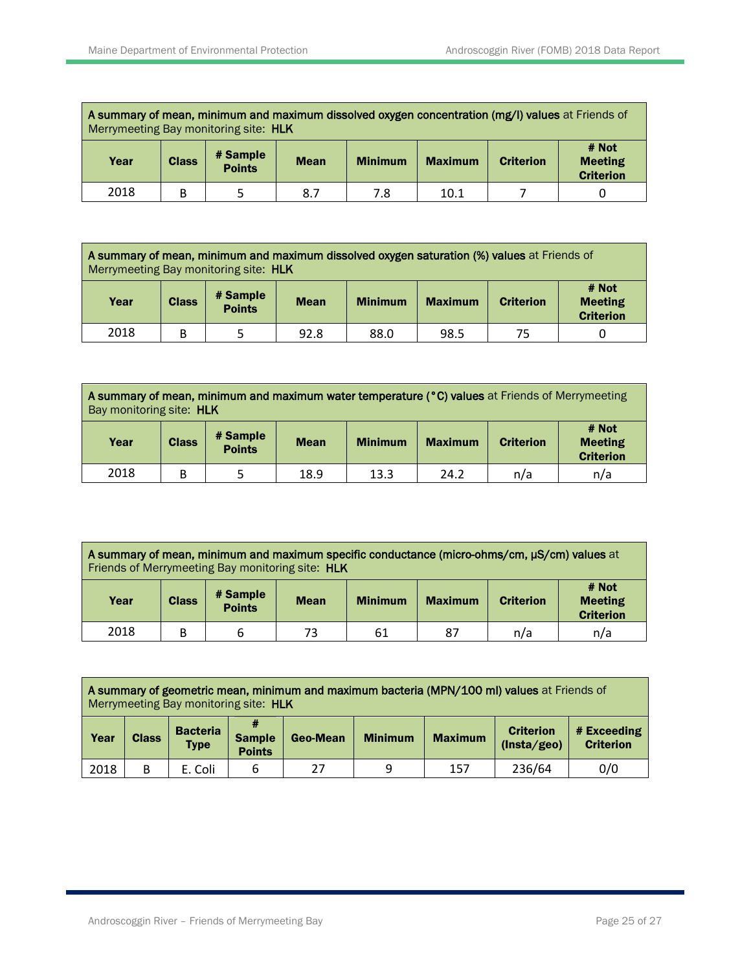| A summary of mean, minimum and maximum dissolved oxygen concentration (mg/l) values at Friends of<br>Merrymeeting Bay monitoring site: HLK |              |                           |             |                |                |                  |                                             |  |  |
|--------------------------------------------------------------------------------------------------------------------------------------------|--------------|---------------------------|-------------|----------------|----------------|------------------|---------------------------------------------|--|--|
| Year                                                                                                                                       | <b>Class</b> | # Sample<br><b>Points</b> | <b>Mean</b> | <b>Minimum</b> | <b>Maximum</b> | <b>Criterion</b> | # Not<br><b>Meeting</b><br><b>Criterion</b> |  |  |
| 2018                                                                                                                                       | B            |                           | 8.7         | 7.8            | 10.1           |                  |                                             |  |  |

| A summary of mean, minimum and maximum dissolved oxygen saturation (%) values at Friends of<br>Merrymeeting Bay monitoring site: HLK |              |                           |             |                |                |                  |                                             |  |  |
|--------------------------------------------------------------------------------------------------------------------------------------|--------------|---------------------------|-------------|----------------|----------------|------------------|---------------------------------------------|--|--|
| Year                                                                                                                                 | <b>Class</b> | # Sample<br><b>Points</b> | <b>Mean</b> | <b>Minimum</b> | <b>Maximum</b> | <b>Criterion</b> | # Not<br><b>Meeting</b><br><b>Criterion</b> |  |  |
| 2018                                                                                                                                 | B            |                           | 92.8        | 88.0           | 98.5           | 75               |                                             |  |  |

| A summary of mean, minimum and maximum water temperature (°C) values at Friends of Merrymeeting |  |
|-------------------------------------------------------------------------------------------------|--|
| Bay monitoring site: <b>HLK</b>                                                                 |  |

| Year | <b>Class</b> | # Sample<br><b>Points</b> | <b>Mean</b> | <b>Minimum</b> | <b>Maximum</b> | <b>Criterion</b> | # Not<br><b>Meeting</b><br><b>Criterion</b> |
|------|--------------|---------------------------|-------------|----------------|----------------|------------------|---------------------------------------------|
| 2018 |              |                           | 18.9        | 13.3           | 24.2           | n/a              | n/a                                         |

| A summary of mean, minimum and maximum specific conductance (micro-ohms/cm, µS/cm) values at<br>Friends of Merrymeeting Bay monitoring site: HLK |              |                           |             |                |                |                  |                                             |  |  |
|--------------------------------------------------------------------------------------------------------------------------------------------------|--------------|---------------------------|-------------|----------------|----------------|------------------|---------------------------------------------|--|--|
| Year                                                                                                                                             | <b>Class</b> | # Sample<br><b>Points</b> | <b>Mean</b> | <b>Minimum</b> | <b>Maximum</b> | <b>Criterion</b> | # Not<br><b>Meeting</b><br><b>Criterion</b> |  |  |
| 2018                                                                                                                                             | B            |                           | 73          | 61             | 87             | n/a              | n/a                                         |  |  |

|      | A summary of geometric mean, minimum and maximum bacteria (MPN/100 ml) values at Friends of<br>Merrymeeting Bay monitoring site: HLK |                                |                                |          |                |                |                                 |                                 |  |  |
|------|--------------------------------------------------------------------------------------------------------------------------------------|--------------------------------|--------------------------------|----------|----------------|----------------|---------------------------------|---------------------------------|--|--|
| Year | <b>Class</b>                                                                                                                         | <b>Bacteria</b><br><b>Type</b> | <b>Sample</b><br><b>Points</b> | Geo-Mean | <b>Minimum</b> | <b>Maximum</b> | <b>Criterion</b><br>(Insta/geo) | # Exceeding<br><b>Criterion</b> |  |  |
| 2018 | B                                                                                                                                    | E. Coli                        | 6                              | 27       | 9              | 157            | 236/64                          | 0/0                             |  |  |

 $\overline{\phantom{a}}$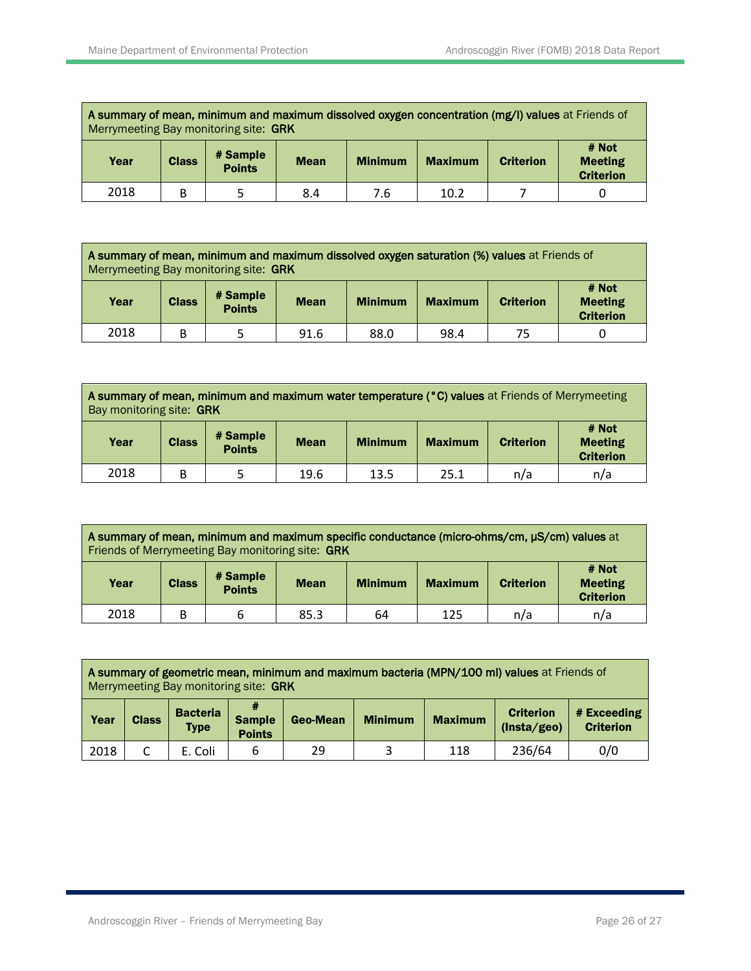| A summary of mean, minimum and maximum dissolved oxygen concentration (mg/l) values at Friends of<br>Merrymeeting Bay monitoring site: GRK |   |  |     |                |                |                  |                                             |
|--------------------------------------------------------------------------------------------------------------------------------------------|---|--|-----|----------------|----------------|------------------|---------------------------------------------|
| # Sample<br><b>Class</b><br>Year<br><b>Mean</b><br><b>Points</b>                                                                           |   |  |     | <b>Minimum</b> | <b>Maximum</b> | <b>Criterion</b> | # Not<br><b>Meeting</b><br><b>Criterion</b> |
| 2018                                                                                                                                       | B |  | 8.4 | 7.6            | 10.2           |                  |                                             |

| A summary of mean, minimum and maximum dissolved oxygen saturation (%) values at Friends of<br>Merrymeeting Bay monitoring site: GRK |   |  |      |                |                |                  |                                             |
|--------------------------------------------------------------------------------------------------------------------------------------|---|--|------|----------------|----------------|------------------|---------------------------------------------|
| # Sample<br><b>Class</b><br>Year<br><b>Mean</b><br><b>Points</b>                                                                     |   |  |      | <b>Minimum</b> | <b>Maximum</b> | <b>Criterion</b> | # Not<br><b>Meeting</b><br><b>Criterion</b> |
| 2018                                                                                                                                 | B |  | 91.6 | 88.0           | 98.4           | 75               |                                             |

| A summary of mean, minimum and maximum water temperature (°C) values at Friends of Merrymeeting |  |
|-------------------------------------------------------------------------------------------------|--|
| Bay monitoring site: <b>GRK</b>                                                                 |  |

| Year | <b>Class</b> | # Sample<br><b>Points</b> | <b>Mean</b> | <b>Minimum</b> | <b>Maximum</b> | <b>Criterion</b> | # Not<br><b>Meeting</b><br><b>Criterion</b> |
|------|--------------|---------------------------|-------------|----------------|----------------|------------------|---------------------------------------------|
| 2018 |              |                           | 19.6        | 13.5           | 25.1           | n/a              | n/a                                         |

|      | A summary of mean, minimum and maximum specific conductance (micro-ohms/cm, µS/cm) values at<br>Friends of Merrymeeting Bay monitoring site: GRK |                |                  |                                             |     |     |     |  |  |  |  |  |
|------|--------------------------------------------------------------------------------------------------------------------------------------------------|----------------|------------------|---------------------------------------------|-----|-----|-----|--|--|--|--|--|
| Year | # Sample<br><b>Points</b>                                                                                                                        | <b>Maximum</b> | <b>Criterion</b> | # Not<br><b>Meeting</b><br><b>Criterion</b> |     |     |     |  |  |  |  |  |
| 2018 | B                                                                                                                                                | 6              | 85.3             | 64                                          | 125 | n/a | n/a |  |  |  |  |  |

|                                                                                                                                                                                  |  | Merrymeeting Bay monitoring site: GRK |                                 |  |  |  | A summary of geometric mean, minimum and maximum bacteria (MPN/100 ml) values at Friends of |                                 |  |  |  |  |
|----------------------------------------------------------------------------------------------------------------------------------------------------------------------------------|--|---------------------------------------|---------------------------------|--|--|--|---------------------------------------------------------------------------------------------|---------------------------------|--|--|--|--|
| #<br><b>Bacteria</b><br><b>Criterion</b><br><b>Sample</b><br><b>Maximum</b><br>Year<br><b>Class</b><br><b>Minimum</b><br>Geo-Mean<br>(Insta/geo)<br><b>Type</b><br><b>Points</b> |  |                                       |                                 |  |  |  |                                                                                             | # Exceeding<br><b>Criterion</b> |  |  |  |  |
| 2018                                                                                                                                                                             |  | E. Coli                               | 236/64<br>0/0<br>29<br>118<br>6 |  |  |  |                                                                                             |                                 |  |  |  |  |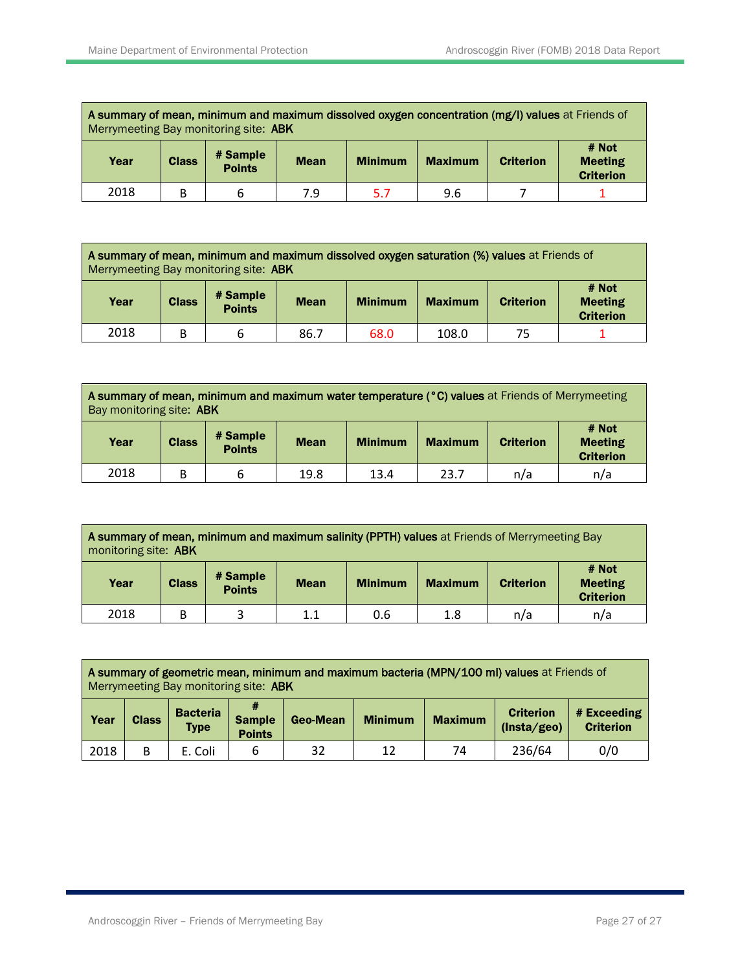| A summary of mean, minimum and maximum dissolved oxygen concentration (mg/l) values at Friends of<br>Merrymeeting Bay monitoring site: ABK |   |  |     |    |                |                  |                                             |
|--------------------------------------------------------------------------------------------------------------------------------------------|---|--|-----|----|----------------|------------------|---------------------------------------------|
| # Sample<br><b>Class</b><br>Year<br><b>Minimum</b><br><b>Mean</b><br><b>Points</b>                                                         |   |  |     |    | <b>Maximum</b> | <b>Criterion</b> | # Not<br><b>Meeting</b><br><b>Criterion</b> |
| 2018                                                                                                                                       | В |  | 7.9 | 57 | 9.6            |                  |                                             |

|                                                                                                      | A summary of mean, minimum and maximum dissolved oxygen saturation (%) values at Friends of<br>Merrymeeting Bay monitoring site: ABK |   |      |      |       |                  |                                             |  |  |  |  |
|------------------------------------------------------------------------------------------------------|--------------------------------------------------------------------------------------------------------------------------------------|---|------|------|-------|------------------|---------------------------------------------|--|--|--|--|
| # Sample<br><b>Class</b><br>Year<br><b>Minimum</b><br><b>Maximum</b><br><b>Mean</b><br><b>Points</b> |                                                                                                                                      |   |      |      |       | <b>Criterion</b> | # Not<br><b>Meeting</b><br><b>Criterion</b> |  |  |  |  |
| 2018                                                                                                 | B                                                                                                                                    | b | 86.7 | 68.0 | 108.0 | 75               |                                             |  |  |  |  |

**A summary of mean, minimum and maximum water temperature (°C) values** at Friends of Merrymeeting Bay monitoring site: ABK

| Year | <b>Class</b> | # Sample<br><b>Points</b> | <b>Mean</b> | <b>Minimum</b> | <b>Maximum</b> | <b>Criterion</b> | # Not<br><b>Meeting</b><br><b>Criterion</b> |
|------|--------------|---------------------------|-------------|----------------|----------------|------------------|---------------------------------------------|
| 2018 | В            |                           | 19.8        | 13.4           | 23.7           | n/a              | n/a                                         |

|                                                                                                                          | A summary of mean, minimum and maximum salinity (PPTH) values at Friends of Merrymeeting Bay<br>monitoring site: ABK |  |     |     |     |     |                                             |  |  |  |  |  |
|--------------------------------------------------------------------------------------------------------------------------|----------------------------------------------------------------------------------------------------------------------|--|-----|-----|-----|-----|---------------------------------------------|--|--|--|--|--|
| # Sample<br><b>Class</b><br>Year<br><b>Minimum</b><br><b>Maximum</b><br><b>Criterion</b><br><b>Mean</b><br><b>Points</b> |                                                                                                                      |  |     |     |     |     | # Not<br><b>Meeting</b><br><b>Criterion</b> |  |  |  |  |  |
| 2018                                                                                                                     | B                                                                                                                    |  | 1.1 | 0.6 | 1.8 | n/a | n/a                                         |  |  |  |  |  |

|                                                                                                                                                                                         |   | Merrymeeting Bay monitoring site: ABK |   |                                 |  |  | A summary of geometric mean, minimum and maximum bacteria (MPN/100 ml) values at Friends of |                                 |  |  |  |  |
|-----------------------------------------------------------------------------------------------------------------------------------------------------------------------------------------|---|---------------------------------------|---|---------------------------------|--|--|---------------------------------------------------------------------------------------------|---------------------------------|--|--|--|--|
| #<br><b>Bacteria</b><br><b>Criterion</b><br><b>Sample</b><br><b>Maximum</b><br>Year<br><b>Class</b><br><b>Minimum</b><br><b>Geo-Mean</b><br>(Insta/geo)<br><b>Type</b><br><b>Points</b> |   |                                       |   |                                 |  |  |                                                                                             | # Exceeding<br><b>Criterion</b> |  |  |  |  |
| 2018                                                                                                                                                                                    | B | E. Coli                               | 6 | 236/64<br>0/0<br>32<br>12<br>74 |  |  |                                                                                             |                                 |  |  |  |  |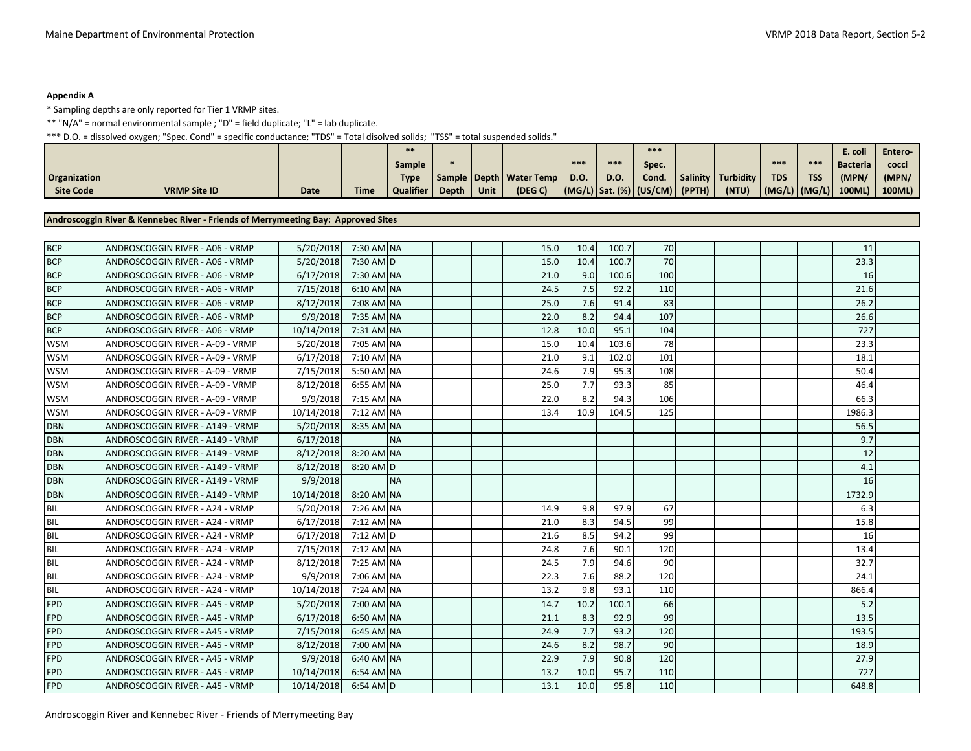#### **Appendix A**

\* Sampling depths are only reported for Tier 1 VRMP sites.

\*\* "N/A" = normal environmental sample ; "D" = field duplicate; "L" = lab duplicate.

\*\*\* D.O. = dissolved oxygen; "Spec. Cond" = specific conductance; "TDS" = Total disolved solids; "TSS" = total suspended solids."

|                     |                     |             |             | $***$            |              |      |                             |      |         | $***$                           |          |           |            |                | ć. coli         | Entero- |
|---------------------|---------------------|-------------|-------------|------------------|--------------|------|-----------------------------|------|---------|---------------------------------|----------|-----------|------------|----------------|-----------------|---------|
|                     |                     |             |             | Sample           |              |      |                             | ***  | $* * :$ | Spec.                           |          |           | ***        | $***$          | <b>Bacteria</b> | cocci   |
| <b>Organization</b> |                     |             |             | <b>Type</b>      |              |      | Sample   Depth   Water Temp | D.O. | D.O.    | Cond.                           | Salinity | Turbidity | <b>TDS</b> | <b>TSS</b>     | (MPN/           | (MPN/   |
| <b>Site Code</b>    | <b>VRMP Site ID</b> | <b>Date</b> | <b>Time</b> | <b>Qualifier</b> | <b>Depth</b> | Unit | (DEG C)                     |      |         | (MG/L) Sat. (%) (US/CM)  (PPTH) |          | (NTU)     |            | (MG/L)  (MG/L) | $100ML$ )       | 100ML)  |

#### **Androscoggin River & Kennebec River - Friends of Merrymeeting Bay: Approved Sites**

| <b>BCP</b> | ANDROSCOGGIN RIVER - A06 - VRMP  | 5/20/2018  | 7:30 AM NA |           |  | 15.0 | 10.4 | 100.7 | <b>70</b> |  |  | 11     |  |
|------------|----------------------------------|------------|------------|-----------|--|------|------|-------|-----------|--|--|--------|--|
| <b>BCP</b> | ANDROSCOGGIN RIVER - A06 - VRMP  | 5/20/2018  | 7:30 AM D  |           |  | 15.0 | 10.4 | 100.7 | 70        |  |  | 23.3   |  |
| <b>BCP</b> | ANDROSCOGGIN RIVER - A06 - VRMP  | 6/17/2018  | 7:30 AM NA |           |  | 21.0 | 9.0  | 100.6 | 100       |  |  | 16     |  |
| <b>BCP</b> | ANDROSCOGGIN RIVER - A06 - VRMP  | 7/15/2018  | 6:10 AM NA |           |  | 24.5 | 7.5  | 92.2  | 110       |  |  | 21.6   |  |
| <b>BCP</b> | ANDROSCOGGIN RIVER - A06 - VRMP  | 8/12/2018  | 7:08 AM NA |           |  | 25.0 | 7.6  | 91.4  | 83        |  |  | 26.2   |  |
| <b>BCP</b> | ANDROSCOGGIN RIVER - A06 - VRMP  | 9/9/2018   | 7:35 AM NA |           |  | 22.0 | 8.2  | 94.4  | 107       |  |  | 26.6   |  |
| <b>BCP</b> | ANDROSCOGGIN RIVER - A06 - VRMP  | 10/14/2018 | 7:31 AM NA |           |  | 12.8 | 10.0 | 95.1  | 104       |  |  | 727    |  |
| <b>WSM</b> | ANDROSCOGGIN RIVER - A-09 - VRMP | 5/20/2018  | 7:05 AM NA |           |  | 15.0 | 10.4 | 103.6 | 78        |  |  | 23.3   |  |
| <b>WSM</b> | ANDROSCOGGIN RIVER - A-09 - VRMP | 6/17/2018  | 7:10 AM NA |           |  | 21.0 | 9.1  | 102.0 | 101       |  |  | 18.1   |  |
| <b>WSM</b> | ANDROSCOGGIN RIVER - A-09 - VRMP | 7/15/2018  | 5:50 AM NA |           |  | 24.6 | 7.9  | 95.3  | 108       |  |  | 50.4   |  |
| <b>WSM</b> | ANDROSCOGGIN RIVER - A-09 - VRMP | 8/12/2018  | 6:55 AM NA |           |  | 25.0 | 7.7  | 93.3  | 85        |  |  | 46.4   |  |
| <b>WSM</b> | ANDROSCOGGIN RIVER - A-09 - VRMP | 9/9/2018   | 7:15 AM NA |           |  | 22.0 | 8.2  | 94.3  | 106       |  |  | 66.3   |  |
| <b>WSM</b> | ANDROSCOGGIN RIVER - A-09 - VRMP | 10/14/2018 | 7:12 AM NA |           |  | 13.4 | 10.9 | 104.5 | 125       |  |  | 1986.3 |  |
| <b>DBN</b> | ANDROSCOGGIN RIVER - A149 - VRMP | 5/20/2018  | 8:35 AM NA |           |  |      |      |       |           |  |  | 56.5   |  |
| <b>DBN</b> | ANDROSCOGGIN RIVER - A149 - VRMP | 6/17/2018  |            | <b>NA</b> |  |      |      |       |           |  |  | 9.7    |  |
| <b>DBN</b> | ANDROSCOGGIN RIVER - A149 - VRMP | 8/12/2018  | 8:20 AM NA |           |  |      |      |       |           |  |  | 12     |  |
| <b>DBN</b> | ANDROSCOGGIN RIVER - A149 - VRMP | 8/12/2018  | 8:20 AM D  |           |  |      |      |       |           |  |  | 4.1    |  |
| <b>DBN</b> | ANDROSCOGGIN RIVER - A149 - VRMP | 9/9/2018   |            | <b>NA</b> |  |      |      |       |           |  |  | 16     |  |
| <b>DBN</b> | ANDROSCOGGIN RIVER - A149 - VRMP | 10/14/2018 | 8:20 AM NA |           |  |      |      |       |           |  |  | 1732.9 |  |
| BIL        | ANDROSCOGGIN RIVER - A24 - VRMP  | 5/20/2018  | 7:26 AM NA |           |  | 14.9 | 9.8  | 97.9  | 67        |  |  | 6.3    |  |
| BIL        | ANDROSCOGGIN RIVER - A24 - VRMP  | 6/17/2018  | 7:12 AM NA |           |  | 21.0 | 8.3  | 94.5  | 99        |  |  | 15.8   |  |
| BIL        | ANDROSCOGGIN RIVER - A24 - VRMP  | 6/17/2018  | 7:12 AM D  |           |  | 21.6 | 8.5  | 94.2  | 99        |  |  | 16     |  |
| <b>BIL</b> | ANDROSCOGGIN RIVER - A24 - VRMP  | 7/15/2018  | 7:12 AM NA |           |  | 24.8 | 7.6  | 90.1  | 120       |  |  | 13.4   |  |
| BIL        | ANDROSCOGGIN RIVER - A24 - VRMP  | 8/12/2018  | 7:25 AM NA |           |  | 24.5 | 7.9  | 94.6  | 90        |  |  | 32.7   |  |
| <b>BIL</b> | ANDROSCOGGIN RIVER - A24 - VRMP  | 9/9/2018   | 7:06 AM NA |           |  | 22.3 | 7.6  | 88.2  | 120       |  |  | 24.1   |  |
| <b>BIL</b> | ANDROSCOGGIN RIVER - A24 - VRMP  | 10/14/2018 | 7:24 AM NA |           |  | 13.2 | 9.8  | 93.1  | 110       |  |  | 866.4  |  |
| <b>FPD</b> | ANDROSCOGGIN RIVER - A45 - VRMP  | 5/20/2018  | 7:00 AM NA |           |  | 14.7 | 10.2 | 100.1 | 66        |  |  | 5.2    |  |
| <b>FPD</b> | ANDROSCOGGIN RIVER - A45 - VRMP  | 6/17/2018  | 6:50 AM NA |           |  | 21.1 | 8.3  | 92.9  | 99        |  |  | 13.5   |  |
| <b>FPD</b> | ANDROSCOGGIN RIVER - A45 - VRMP  | 7/15/2018  | 6:45 AM NA |           |  | 24.9 | 7.7  | 93.2  | 120       |  |  | 193.5  |  |
| <b>FPD</b> | ANDROSCOGGIN RIVER - A45 - VRMP  | 8/12/2018  | 7:00 AM NA |           |  | 24.6 | 8.2  | 98.7  | 90        |  |  | 18.9   |  |
| <b>FPD</b> | ANDROSCOGGIN RIVER - A45 - VRMP  | 9/9/2018   | 6:40 AM NA |           |  | 22.9 | 7.9  | 90.8  | 120       |  |  | 27.9   |  |
| FPD        | ANDROSCOGGIN RIVER - A45 - VRMP  | 10/14/2018 | 6:54 AM NA |           |  | 13.2 | 10.0 | 95.7  | 110       |  |  | 727    |  |
| FPD        | ANDROSCOGGIN RIVER - A45 - VRMP  | 10/14/2018 | 6:54 AM D  |           |  | 13.1 | 10.0 | 95.8  | 110       |  |  | 648.8  |  |
|            |                                  |            |            |           |  |      |      |       |           |  |  |        |  |